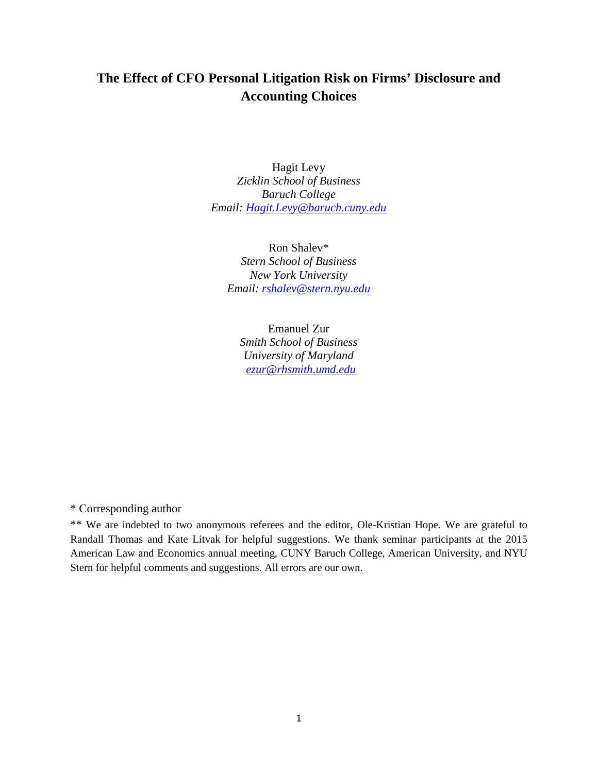# **The Effect of CFO Personal Litigation Risk on Firms' Disclosure and Accounting Choices**

Hagit Levy *Zicklin School of Business Baruch College Email: [Hagit.Levy@baruch.cuny.edu](mailto:Hagit.Levy@baruch.cuny.edu)*

Ron Shalev\* *Stern School of Business New York University Email: [rshalev@stern.nyu.edu](mailto:rshalev@stern.nyu.edu)*

Emanuel Zur *Smith School of Business University of Maryland [ezur@rhsmith.umd.edu](mailto:ezur@rhsmith.umd.edu)*

\* Corresponding author

\*\* We are indebted to two anonymous referees and the editor, Ole-Kristian Hope. We are grateful to Randall Thomas and Kate Litvak for helpful suggestions. We thank seminar participants at the 2015 American Law and Economics annual meeting, CUNY Baruch College, American University, and NYU Stern for helpful comments and suggestions. All errors are our own.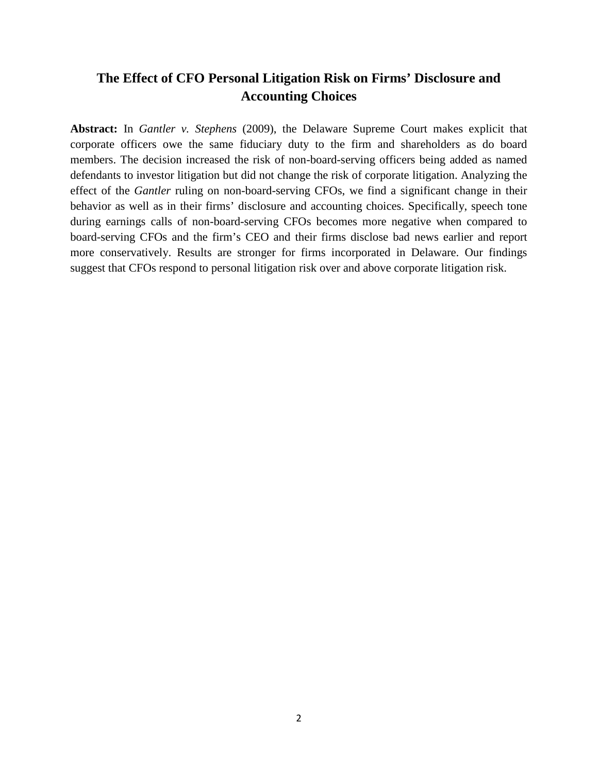# **The Effect of CFO Personal Litigation Risk on Firms' Disclosure and Accounting Choices**

**Abstract:** In *Gantler v. Stephens* (2009), the Delaware Supreme Court makes explicit that corporate officers owe the same fiduciary duty to the firm and shareholders as do board members. The decision increased the risk of non-board-serving officers being added as named defendants to investor litigation but did not change the risk of corporate litigation. Analyzing the effect of the *Gantler* ruling on non-board-serving CFOs, we find a significant change in their behavior as well as in their firms' disclosure and accounting choices. Specifically, speech tone during earnings calls of non-board-serving CFOs becomes more negative when compared to board-serving CFOs and the firm's CEO and their firms disclose bad news earlier and report more conservatively. Results are stronger for firms incorporated in Delaware. Our findings suggest that CFOs respond to personal litigation risk over and above corporate litigation risk.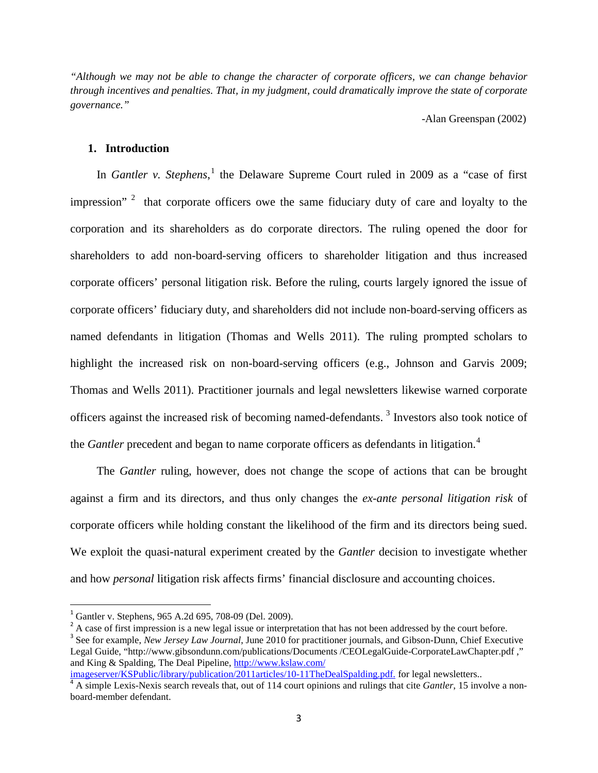*"Although we may not be able to change the character of corporate officers, we can change behavior through incentives and penalties. That, in my judgment, could dramatically improve the state of corporate governance."*

-Alan Greenspan (2002)

#### **1. Introduction**

In *Gantler v. Stephens*, [1](#page-2-0) the Delaware Supreme Court ruled in 2009 as a "case of first impression"<sup>[2](#page-2-1)</sup> that corporate officers owe the same fiduciary duty of care and loyalty to the corporation and its shareholders as do corporate directors. The ruling opened the door for shareholders to add non-board-serving officers to shareholder litigation and thus increased corporate officers' personal litigation risk. Before the ruling, courts largely ignored the issue of corporate officers' fiduciary duty, and shareholders did not include non-board-serving officers as named defendants in litigation (Thomas and Wells 2011). The ruling prompted scholars to highlight the increased risk on non-board-serving officers (e.g., Johnson and Garvis 2009; Thomas and Wells 2011). Practitioner journals and legal newsletters likewise warned corporate officers against the increased risk of becoming named-defendants.<sup>[3](#page-2-2)</sup> Investors also took notice of the *Gantler* precedent and began to name corporate officers as defendants in litigation. [4](#page-2-3)

The *Gantler* ruling, however, does not change the scope of actions that can be brought against a firm and its directors, and thus only changes the *ex-ante personal litigation risk* of corporate officers while holding constant the likelihood of the firm and its directors being sued. We exploit the quasi-natural experiment created by the *Gantler* decision to investigate whether and how *personal* litigation risk affects firms' financial disclosure and accounting choices.

<span id="page-2-2"></span><span id="page-2-1"></span>

<span id="page-2-0"></span><sup>&</sup>lt;sup>1</sup> Gantler v. Stephens, 965 A.2d 695, 708-09 (Del. 2009).<br><sup>2</sup> A case of first impression is a new legal issue or interpretation that has not been addressed by the court before.<br><sup>3</sup> See for example, *New Jersey Law Journa* Legal Guide, "http://www.gibsondunn.com/publications/Documents /CEOLegalGuide-CorporateLawChapter.pdf ," and King & Spalding, The Deal Pipeline, http://www.kslaw.com/<br>imageserver/KSPublic/library/publication/2011articles/10-11TheDealSpalding.pdf. for legal newsletters..

<span id="page-2-3"></span> $4\overline{A}$  simple Lexis-Nexis search reveals that, out of 114 court opinions and rulings that cite *Gantler*, 15 involve a nonboard-member defendant.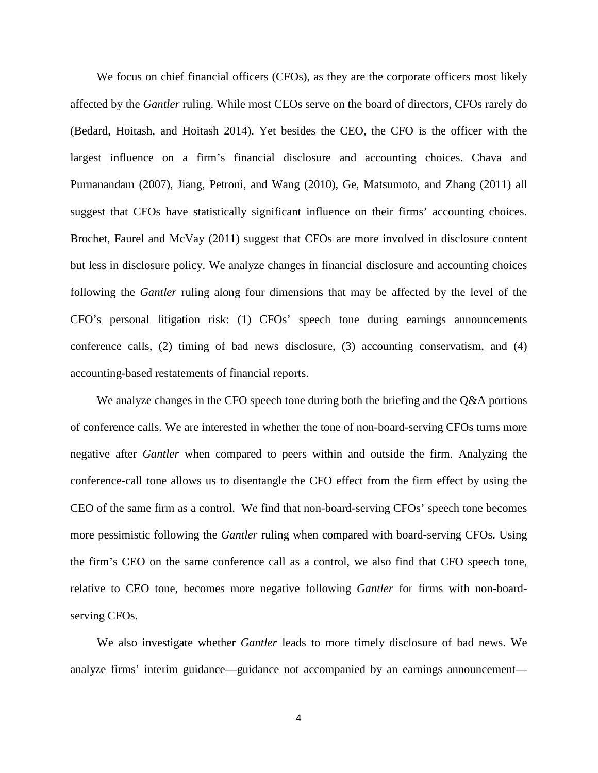We focus on chief financial officers (CFOs), as they are the corporate officers most likely affected by the *Gantler* ruling. While most CEOs serve on the board of directors, CFOs rarely do (Bedard, Hoitash, and Hoitash 2014). Yet besides the CEO, the CFO is the officer with the largest influence on a firm's financial disclosure and accounting choices. Chava and Purnanandam (2007), Jiang, Petroni, and Wang (2010), Ge, Matsumoto, and Zhang (2011) all suggest that CFOs have statistically significant influence on their firms' accounting choices. Brochet, Faurel and McVay (2011) suggest that CFOs are more involved in disclosure content but less in disclosure policy. We analyze changes in financial disclosure and accounting choices following the *Gantler* ruling along four dimensions that may be affected by the level of the CFO's personal litigation risk: (1) CFOs' speech tone during earnings announcements conference calls, (2) timing of bad news disclosure, (3) accounting conservatism, and (4) accounting-based restatements of financial reports.

We analyze changes in the CFO speech tone during both the briefing and the Q&A portions of conference calls. We are interested in whether the tone of non-board-serving CFOs turns more negative after *Gantler* when compared to peers within and outside the firm. Analyzing the conference-call tone allows us to disentangle the CFO effect from the firm effect by using the CEO of the same firm as a control. We find that non-board-serving CFOs' speech tone becomes more pessimistic following the *Gantler* ruling when compared with board-serving CFOs. Using the firm's CEO on the same conference call as a control, we also find that CFO speech tone, relative to CEO tone, becomes more negative following *Gantler* for firms with non-boardserving CFOs.

We also investigate whether *Gantler* leads to more timely disclosure of bad news. We analyze firms' interim guidance—guidance not accompanied by an earnings announcement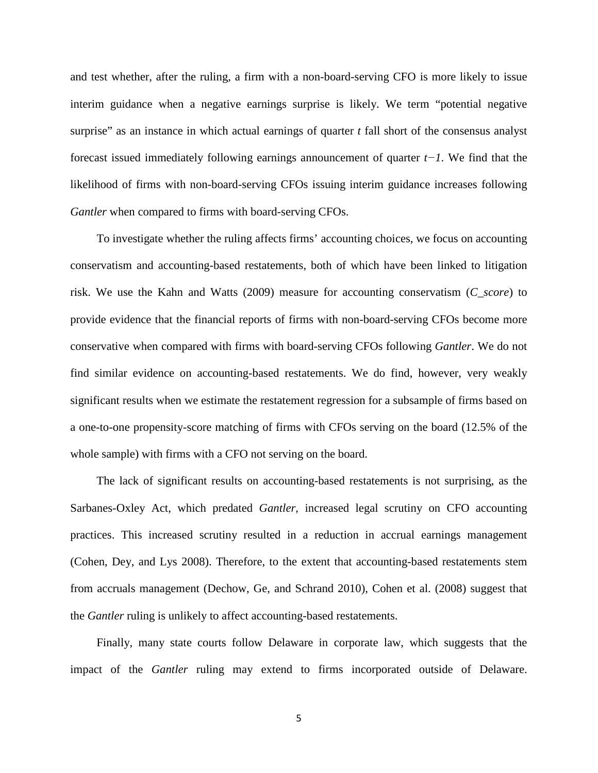and test whether, after the ruling, a firm with a non-board-serving CFO is more likely to issue interim guidance when a negative earnings surprise is likely. We term "potential negative surprise" as an instance in which actual earnings of quarter *t* fall short of the consensus analyst forecast issued immediately following earnings announcement of quarter *t−1*. We find that the likelihood of firms with non-board-serving CFOs issuing interim guidance increases following *Gantler* when compared to firms with board-serving CFOs.

To investigate whether the ruling affects firms' accounting choices, we focus on accounting conservatism and accounting-based restatements, both of which have been linked to litigation risk. We use the Kahn and Watts (2009) measure for accounting conservatism (*C\_score*) to provide evidence that the financial reports of firms with non-board-serving CFOs become more conservative when compared with firms with board-serving CFOs following *Gantler*. We do not find similar evidence on accounting-based restatements. We do find, however, very weakly significant results when we estimate the restatement regression for a subsample of firms based on a one-to-one propensity-score matching of firms with CFOs serving on the board (12.5% of the whole sample) with firms with a CFO not serving on the board.

The lack of significant results on accounting-based restatements is not surprising, as the Sarbanes-Oxley Act, which predated *Gantler*, increased legal scrutiny on CFO accounting practices. This increased scrutiny resulted in a reduction in accrual earnings management (Cohen, Dey, and Lys 2008). Therefore, to the extent that accounting-based restatements stem from accruals management (Dechow, Ge, and Schrand 2010), Cohen et al. (2008) suggest that the *Gantler* ruling is unlikely to affect accounting-based restatements.

Finally, many state courts follow Delaware in corporate law, which suggests that the impact of the *Gantler* ruling may extend to firms incorporated outside of Delaware.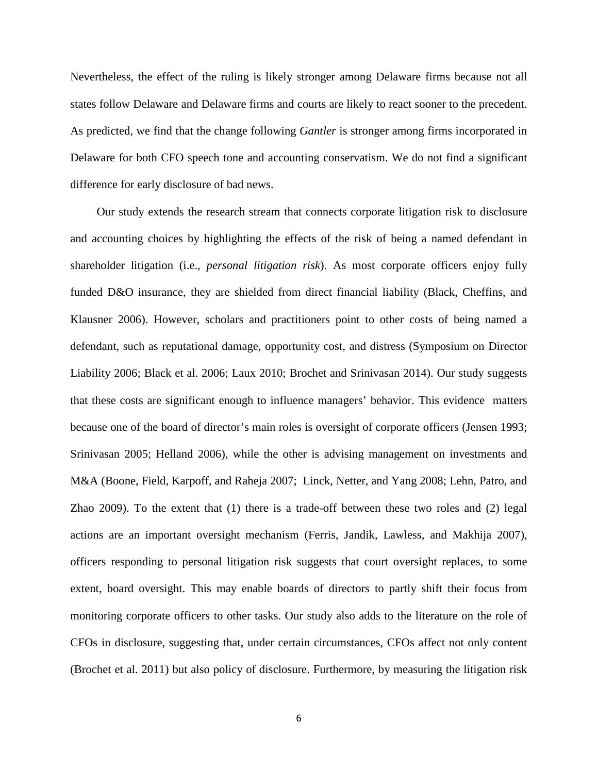Nevertheless, the effect of the ruling is likely stronger among Delaware firms because not all states follow Delaware and Delaware firms and courts are likely to react sooner to the precedent. As predicted, we find that the change following *Gantler* is stronger among firms incorporated in Delaware for both CFO speech tone and accounting conservatism. We do not find a significant difference for early disclosure of bad news.

Our study extends the research stream that connects corporate litigation risk to disclosure and accounting choices by highlighting the effects of the risk of being a named defendant in shareholder litigation (i.e., *personal litigation risk*). As most corporate officers enjoy fully funded D&O insurance, they are shielded from direct financial liability (Black, Cheffins, and Klausner 2006). However, scholars and practitioners point to other costs of being named a defendant, such as reputational damage, opportunity cost, and distress (Symposium on Director Liability 2006; Black et al. 2006; Laux 2010; Brochet and Srinivasan 2014). Our study suggests that these costs are significant enough to influence managers' behavior. This evidence matters because one of the board of director's main roles is oversight of corporate officers (Jensen 1993; Srinivasan 2005; Helland 2006), while the other is advising management on investments and M&A (Boone, Field, Karpoff, and Raheja 2007; Linck, Netter, and Yang 2008; Lehn, Patro, and Zhao 2009). To the extent that (1) there is a trade-off between these two roles and (2) legal actions are an important oversight mechanism (Ferris, Jandik, Lawless, and Makhija 2007), officers responding to personal litigation risk suggests that court oversight replaces, to some extent, board oversight. This may enable boards of directors to partly shift their focus from monitoring corporate officers to other tasks. Our study also adds to the literature on the role of CFOs in disclosure, suggesting that, under certain circumstances, CFOs affect not only content (Brochet et al. 2011) but also policy of disclosure. Furthermore, by measuring the litigation risk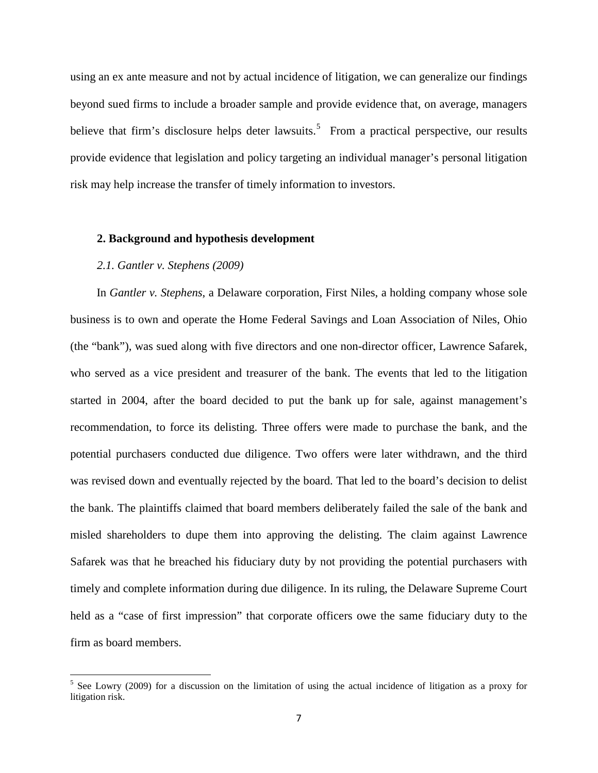using an ex ante measure and not by actual incidence of litigation, we can generalize our findings beyond sued firms to include a broader sample and provide evidence that, on average, managers believe that firm's disclosure helps deter lawsuits.<sup>[5](#page-6-0)</sup> From a practical perspective, our results provide evidence that legislation and policy targeting an individual manager's personal litigation risk may help increase the transfer of timely information to investors.

#### **2. Background and hypothesis development**

#### *2.1. Gantler v. Stephens (2009)*

In *Gantler v. Stephens*, a Delaware corporation, First Niles, a holding company whose sole business is to own and operate the Home Federal Savings and Loan Association of Niles, Ohio (the "bank"), was sued along with five directors and one non-director officer, Lawrence Safarek, who served as a vice president and treasurer of the bank. The events that led to the litigation started in 2004, after the board decided to put the bank up for sale, against management's recommendation, to force its delisting. Three offers were made to purchase the bank, and the potential purchasers conducted due diligence. Two offers were later withdrawn, and the third was revised down and eventually rejected by the board. That led to the board's decision to delist the bank. The plaintiffs claimed that board members deliberately failed the sale of the bank and misled shareholders to dupe them into approving the delisting. The claim against Lawrence Safarek was that he breached his fiduciary duty by not providing the potential purchasers with timely and complete information during due diligence. In its ruling, the Delaware Supreme Court held as a "case of first impression" that corporate officers owe the same fiduciary duty to the firm as board members.

<span id="page-6-0"></span><sup>&</sup>lt;sup>5</sup> See Lowry (2009) for a discussion on the limitation of using the actual incidence of litigation as a proxy for litigation risk.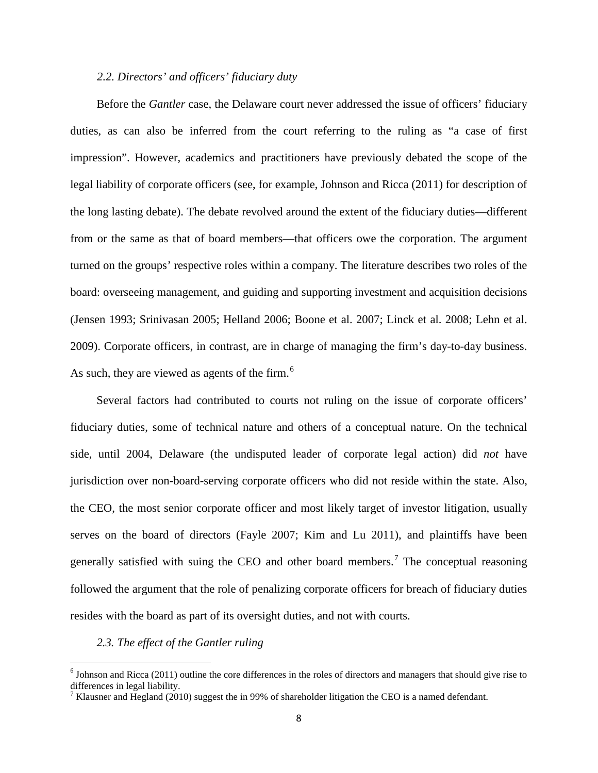### *2.2. Directors' and officers' fiduciary duty*

Before the *Gantler* case, the Delaware court never addressed the issue of officers' fiduciary duties, as can also be inferred from the court referring to the ruling as "a case of first impression". However, academics and practitioners have previously debated the scope of the legal liability of corporate officers (see, for example, Johnson and Ricca (2011) for description of the long lasting debate). The debate revolved around the extent of the fiduciary duties—different from or the same as that of board members—that officers owe the corporation. The argument turned on the groups' respective roles within a company. The literature describes two roles of the board: overseeing management, and guiding and supporting investment and acquisition decisions (Jensen 1993; Srinivasan 2005; Helland 2006; Boone et al. 2007; Linck et al. 2008; Lehn et al. 2009). Corporate officers, in contrast, are in charge of managing the firm's day-to-day business. As such, they are viewed as agents of the firm. $<sup>6</sup>$  $<sup>6</sup>$  $<sup>6</sup>$ </sup>

Several factors had contributed to courts not ruling on the issue of corporate officers' fiduciary duties, some of technical nature and others of a conceptual nature. On the technical side, until 2004, Delaware (the undisputed leader of corporate legal action) did *not* have jurisdiction over non-board-serving corporate officers who did not reside within the state. Also, the CEO, the most senior corporate officer and most likely target of investor litigation, usually serves on the board of directors (Fayle 2007; Kim and Lu 2011), and plaintiffs have been generally satisfied with suing the CEO and other board members.<sup>[7](#page-7-1)</sup> The conceptual reasoning followed the argument that the role of penalizing corporate officers for breach of fiduciary duties resides with the board as part of its oversight duties, and not with courts.

#### *2.3. The effect of the Gantler ruling*

<span id="page-7-0"></span> $<sup>6</sup>$  Johnson and Ricca (2011) outline the core differences in the roles of directors and managers that should give rise to</sup> differences in legal liability.

<span id="page-7-1"></span><sup>&</sup>lt;sup>7</sup> Klausner and Hegland (2010) suggest the in 99% of shareholder litigation the CEO is a named defendant.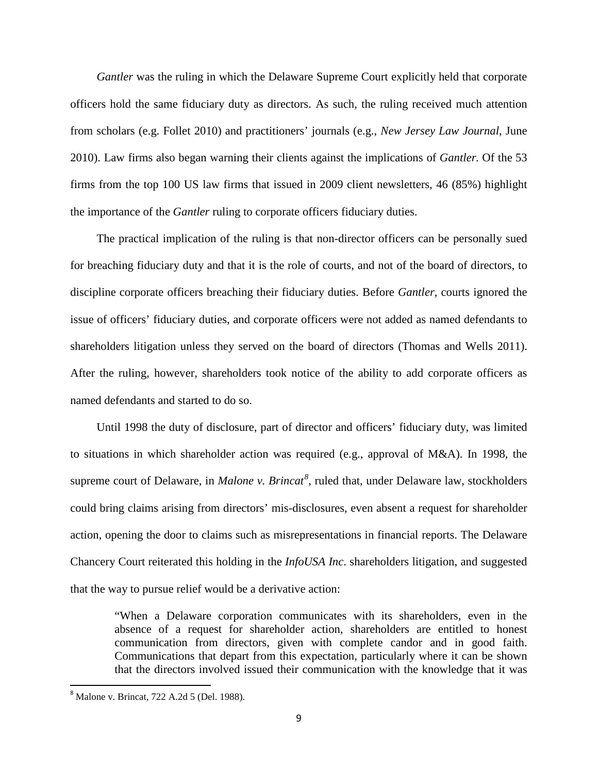*Gantler* was the ruling in which the Delaware Supreme Court explicitly held that corporate officers hold the same fiduciary duty as directors. As such, the ruling received much attention from scholars (e.g. Follet 2010) and practitioners' journals (e.g., *New Jersey Law Journal*, June 2010). Law firms also began warning their clients against the implications of *Gantler.* Of the 53 firms from the top 100 US law firms that issued in 2009 client newsletters, 46 (85%) highlight the importance of the *Gantler* ruling to corporate officers fiduciary duties.

The practical implication of the ruling is that non-director officers can be personally sued for breaching fiduciary duty and that it is the role of courts, and not of the board of directors, to discipline corporate officers breaching their fiduciary duties. Before *Gantler*, courts ignored the issue of officers' fiduciary duties, and corporate officers were not added as named defendants to shareholders litigation unless they served on the board of directors (Thomas and Wells 2011). After the ruling, however, shareholders took notice of the ability to add corporate officers as named defendants and started to do so.

Until 1998 the duty of disclosure, part of director and officers' fiduciary duty, was limited to situations in which shareholder action was required (e.g., approval of M&A). In 1998, the supreme court of Delaware, in *Malone v. Brincat<sup>[8](#page-8-0)</sup>*, ruled that, under Delaware law, stockholders could bring claims arising from directors' mis-disclosures, even absent a request for shareholder action, opening the door to claims such as misrepresentations in financial reports. The Delaware Chancery Court reiterated this holding in the *InfoUSA Inc*. shareholders litigation, and suggested that the way to pursue relief would be a derivative action:

"When a Delaware corporation communicates with its shareholders, even in the absence of a request for shareholder action, shareholders are entitled to honest communication from directors, given with complete candor and in good faith. Communications that depart from this expectation, particularly where it can be shown that the directors involved issued their communication with the knowledge that it was

<span id="page-8-0"></span> <sup>8</sup> Malone v. Brincat, 722 A.2d 5 (Del. 1988).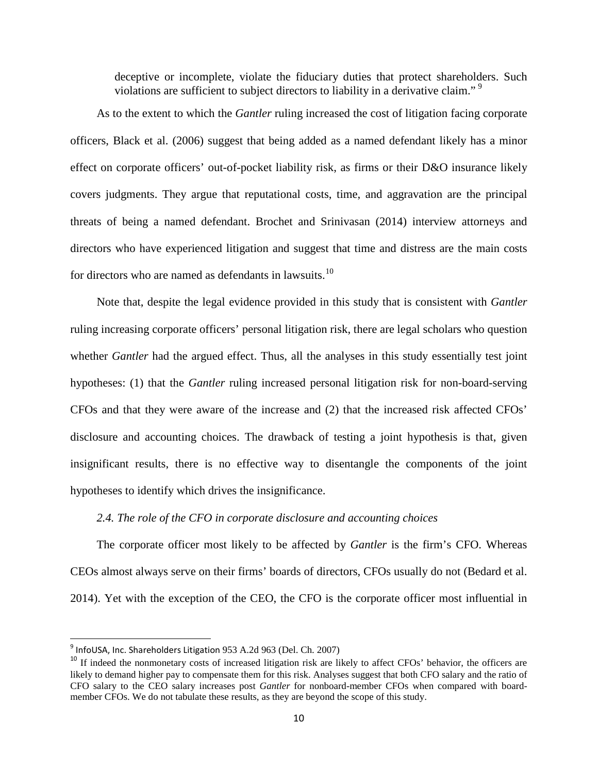deceptive or incomplete, violate the fiduciary duties that protect shareholders. Such violations are sufficient to subject directors to liability in a derivative claim."<sup>[9](#page-9-0)</sup>

As to the extent to which the *Gantler* ruling increased the cost of litigation facing corporate officers, Black et al. (2006) suggest that being added as a named defendant likely has a minor effect on corporate officers' out-of-pocket liability risk, as firms or their D&O insurance likely covers judgments. They argue that reputational costs, time, and aggravation are the principal threats of being a named defendant. Brochet and Srinivasan (2014) interview attorneys and directors who have experienced litigation and suggest that time and distress are the main costs for directors who are named as defendants in lawsuits.<sup>[10](#page-9-1)</sup>

Note that, despite the legal evidence provided in this study that is consistent with *Gantler* ruling increasing corporate officers' personal litigation risk, there are legal scholars who question whether *Gantler* had the argued effect. Thus, all the analyses in this study essentially test joint hypotheses: (1) that the *Gantler* ruling increased personal litigation risk for non-board-serving CFOs and that they were aware of the increase and (2) that the increased risk affected CFOs' disclosure and accounting choices. The drawback of testing a joint hypothesis is that, given insignificant results, there is no effective way to disentangle the components of the joint hypotheses to identify which drives the insignificance.

## *2.4. The role of the CFO in corporate disclosure and accounting choices*

The corporate officer most likely to be affected by *Gantler* is the firm's CFO. Whereas CEOs almost always serve on their firms' boards of directors, CFOs usually do not (Bedard et al. 2014). Yet with the exception of the CEO, the CFO is the corporate officer most influential in

<span id="page-9-0"></span> $9$  InfoUSA, Inc. Shareholders Litigation 953 A.2d 963 (Del. Ch. 2007)

<span id="page-9-1"></span><sup>&</sup>lt;sup>10</sup> If indeed the nonmonetary costs of increased litigation risk are likely to affect CFOs' behavior, the officers are likely to demand higher pay to compensate them for this risk. Analyses suggest that both CFO salary and the ratio of CFO salary to the CEO salary increases post *Gantler* for nonboard-member CFOs when compared with boardmember CFOs. We do not tabulate these results, as they are beyond the scope of this study.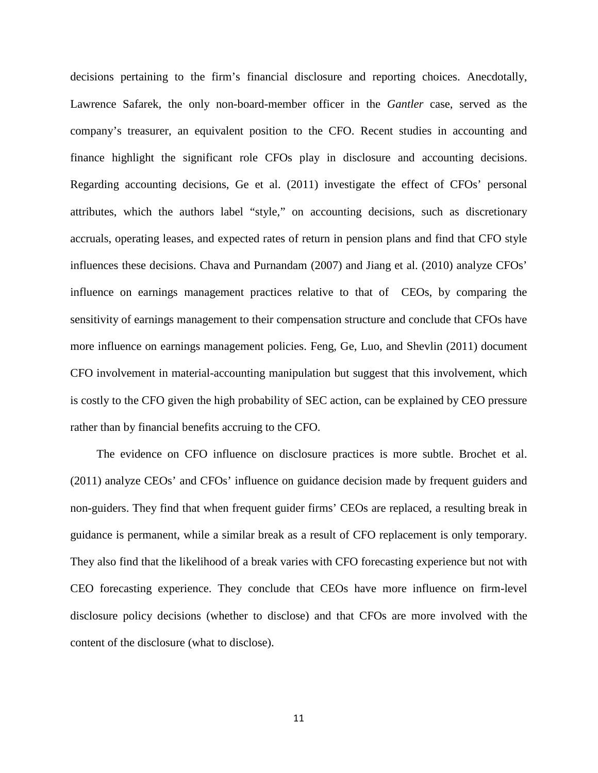decisions pertaining to the firm's financial disclosure and reporting choices. Anecdotally, Lawrence Safarek, the only non-board-member officer in the *Gantler* case, served as the company's treasurer, an equivalent position to the CFO. Recent studies in accounting and finance highlight the significant role CFOs play in disclosure and accounting decisions. Regarding accounting decisions, Ge et al. (2011) investigate the effect of CFOs' personal attributes, which the authors label "style," on accounting decisions, such as discretionary accruals, operating leases, and expected rates of return in pension plans and find that CFO style influences these decisions. Chava and Purnandam (2007) and Jiang et al. (2010) analyze CFOs' influence on earnings management practices relative to that of CEOs, by comparing the sensitivity of earnings management to their compensation structure and conclude that CFOs have more influence on earnings management policies. Feng, Ge, Luo, and Shevlin (2011) document CFO involvement in material-accounting manipulation but suggest that this involvement, which is costly to the CFO given the high probability of SEC action, can be explained by CEO pressure rather than by financial benefits accruing to the CFO.

The evidence on CFO influence on disclosure practices is more subtle. Brochet et al. (2011) analyze CEOs' and CFOs' influence on guidance decision made by frequent guiders and non-guiders. They find that when frequent guider firms' CEOs are replaced, a resulting break in guidance is permanent, while a similar break as a result of CFO replacement is only temporary. They also find that the likelihood of a break varies with CFO forecasting experience but not with CEO forecasting experience. They conclude that CEOs have more influence on firm-level disclosure policy decisions (whether to disclose) and that CFOs are more involved with the content of the disclosure (what to disclose).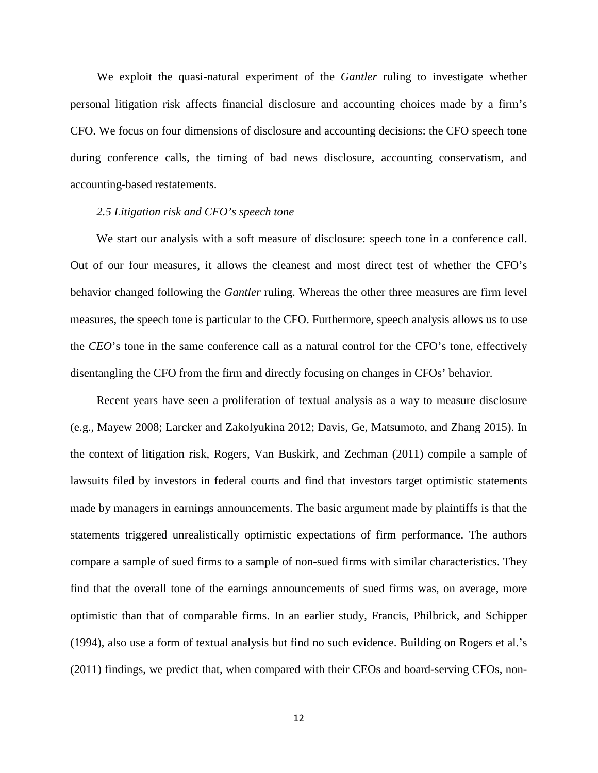We exploit the quasi-natural experiment of the *Gantler* ruling to investigate whether personal litigation risk affects financial disclosure and accounting choices made by a firm's CFO. We focus on four dimensions of disclosure and accounting decisions: the CFO speech tone during conference calls, the timing of bad news disclosure, accounting conservatism, and accounting-based restatements.

#### *2.5 Litigation risk and CFO's speech tone*

We start our analysis with a soft measure of disclosure: speech tone in a conference call. Out of our four measures, it allows the cleanest and most direct test of whether the CFO's behavior changed following the *Gantler* ruling. Whereas the other three measures are firm level measures, the speech tone is particular to the CFO. Furthermore, speech analysis allows us to use the *CEO*'s tone in the same conference call as a natural control for the CFO's tone, effectively disentangling the CFO from the firm and directly focusing on changes in CFOs' behavior.

Recent years have seen a proliferation of textual analysis as a way to measure disclosure (e.g., Mayew 2008; Larcker and Zakolyukina 2012; Davis, Ge, Matsumoto, and Zhang 2015). In the context of litigation risk, Rogers, Van Buskirk, and Zechman (2011) compile a sample of lawsuits filed by investors in federal courts and find that investors target optimistic statements made by managers in earnings announcements. The basic argument made by plaintiffs is that the statements triggered unrealistically optimistic expectations of firm performance. The authors compare a sample of sued firms to a sample of non-sued firms with similar characteristics. They find that the overall tone of the earnings announcements of sued firms was, on average, more optimistic than that of comparable firms. In an earlier study, Francis, Philbrick, and Schipper (1994), also use a form of textual analysis but find no such evidence. Building on Rogers et al.'s (2011) findings, we predict that, when compared with their CEOs and board-serving CFOs, non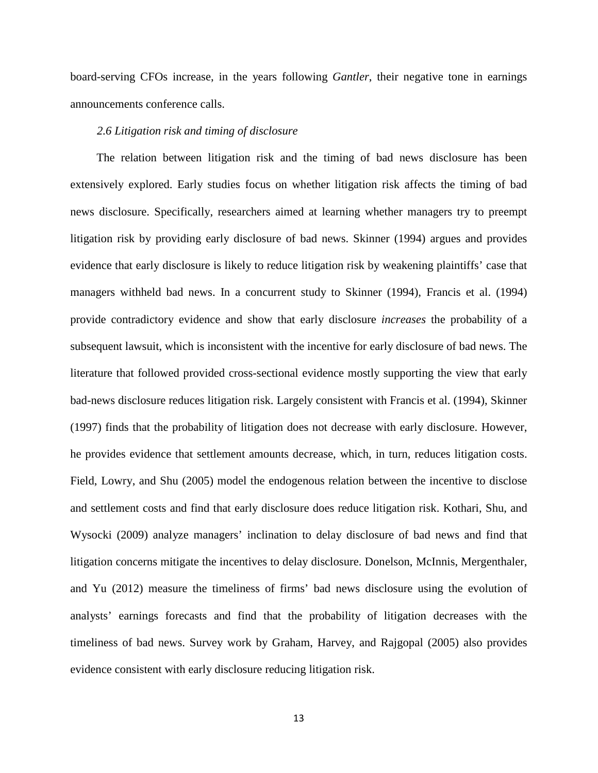board-serving CFOs increase, in the years following *Gantler*, their negative tone in earnings announcements conference calls.

### *2.6 Litigation risk and timing of disclosure*

The relation between litigation risk and the timing of bad news disclosure has been extensively explored. Early studies focus on whether litigation risk affects the timing of bad news disclosure. Specifically, researchers aimed at learning whether managers try to preempt litigation risk by providing early disclosure of bad news. Skinner (1994) argues and provides evidence that early disclosure is likely to reduce litigation risk by weakening plaintiffs' case that managers withheld bad news. In a concurrent study to Skinner (1994), Francis et al. (1994) provide contradictory evidence and show that early disclosure *increases* the probability of a subsequent lawsuit, which is inconsistent with the incentive for early disclosure of bad news. The literature that followed provided cross-sectional evidence mostly supporting the view that early bad-news disclosure reduces litigation risk. Largely consistent with Francis et al. (1994), Skinner (1997) finds that the probability of litigation does not decrease with early disclosure. However, he provides evidence that settlement amounts decrease, which, in turn, reduces litigation costs. Field, Lowry, and Shu (2005) model the endogenous relation between the incentive to disclose and settlement costs and find that early disclosure does reduce litigation risk. Kothari, Shu, and Wysocki (2009) analyze managers' inclination to delay disclosure of bad news and find that litigation concerns mitigate the incentives to delay disclosure. Donelson, McInnis, Mergenthaler, and Yu (2012) measure the timeliness of firms' bad news disclosure using the evolution of analysts' earnings forecasts and find that the probability of litigation decreases with the timeliness of bad news. Survey work by Graham, Harvey, and Rajgopal (2005) also provides evidence consistent with early disclosure reducing litigation risk.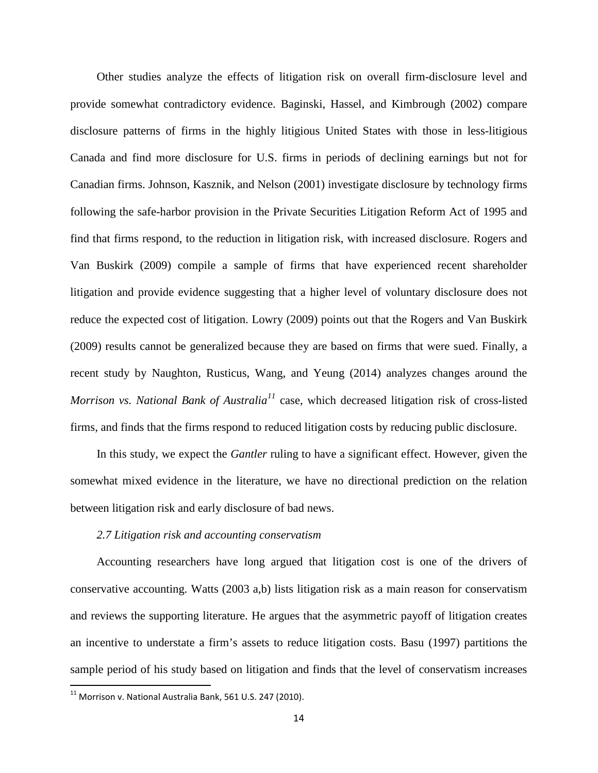Other studies analyze the effects of litigation risk on overall firm-disclosure level and provide somewhat contradictory evidence. Baginski, Hassel, and Kimbrough (2002) compare disclosure patterns of firms in the highly litigious United States with those in less-litigious Canada and find more disclosure for U.S. firms in periods of declining earnings but not for Canadian firms. Johnson, Kasznik, and Nelson (2001) investigate disclosure by technology firms following the safe-harbor provision in the Private Securities Litigation Reform Act of 1995 and find that firms respond, to the reduction in litigation risk, with increased disclosure. Rogers and Van Buskirk (2009) compile a sample of firms that have experienced recent shareholder litigation and provide evidence suggesting that a higher level of voluntary disclosure does not reduce the expected cost of litigation. Lowry (2009) points out that the Rogers and Van Buskirk (2009) results cannot be generalized because they are based on firms that were sued. Finally, a recent study by Naughton, Rusticus, Wang, and Yeung (2014) analyzes changes around the *Morrison vs. National Bank of Australia[11](#page-13-0)* case, which decreased litigation risk of cross-listed firms, and finds that the firms respond to reduced litigation costs by reducing public disclosure.

In this study, we expect the *Gantler* ruling to have a significant effect. However, given the somewhat mixed evidence in the literature, we have no directional prediction on the relation between litigation risk and early disclosure of bad news.

#### *2.7 Litigation risk and accounting conservatism*

Accounting researchers have long argued that litigation cost is one of the drivers of conservative accounting. Watts (2003 a,b) lists litigation risk as a main reason for conservatism and reviews the supporting literature. He argues that the asymmetric payoff of litigation creates an incentive to understate a firm's assets to reduce litigation costs. Basu (1997) partitions the sample period of his study based on litigation and finds that the level of conservatism increases

<span id="page-13-0"></span> $11$  Morrison v. National Australia Bank, 561 U.S. 247 (2010).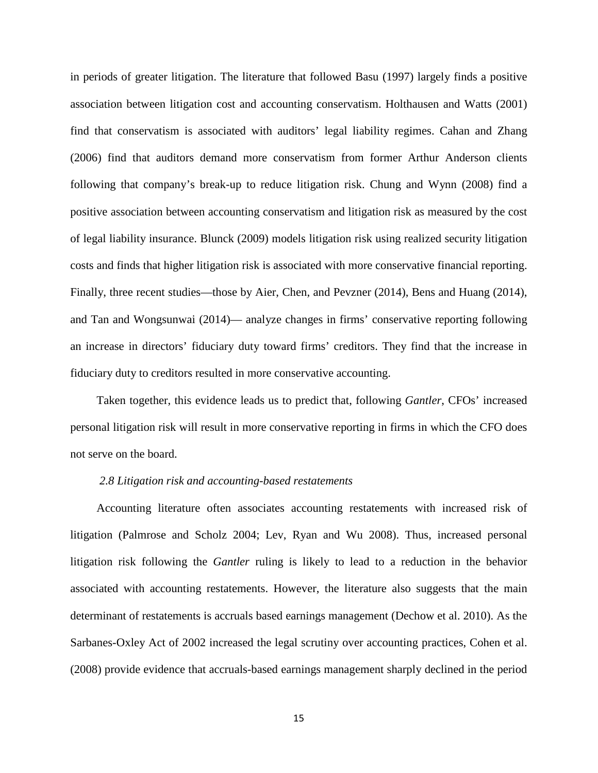in periods of greater litigation. The literature that followed Basu (1997) largely finds a positive association between litigation cost and accounting conservatism. Holthausen and Watts (2001) find that conservatism is associated with auditors' legal liability regimes. Cahan and Zhang (2006) find that auditors demand more conservatism from former Arthur Anderson clients following that company's break-up to reduce litigation risk. Chung and Wynn (2008) find a positive association between accounting conservatism and litigation risk as measured by the cost of legal liability insurance. Blunck (2009) models litigation risk using realized security litigation costs and finds that higher litigation risk is associated with more conservative financial reporting. Finally, three recent studies—those by Aier, Chen, and Pevzner (2014), Bens and Huang (2014), and Tan and Wongsunwai (2014)— analyze changes in firms' conservative reporting following an increase in directors' fiduciary duty toward firms' creditors. They find that the increase in fiduciary duty to creditors resulted in more conservative accounting.

Taken together, this evidence leads us to predict that, following *Gantler*, CFOs' increased personal litigation risk will result in more conservative reporting in firms in which the CFO does not serve on the board.

#### *2.8 Litigation risk and accounting-based restatements*

Accounting literature often associates accounting restatements with increased risk of litigation (Palmrose and Scholz 2004; Lev, Ryan and Wu 2008). Thus, increased personal litigation risk following the *Gantler* ruling is likely to lead to a reduction in the behavior associated with accounting restatements. However, the literature also suggests that the main determinant of restatements is accruals based earnings management (Dechow et al. 2010). As the Sarbanes-Oxley Act of 2002 increased the legal scrutiny over accounting practices, Cohen et al. (2008) provide evidence that accruals-based earnings management sharply declined in the period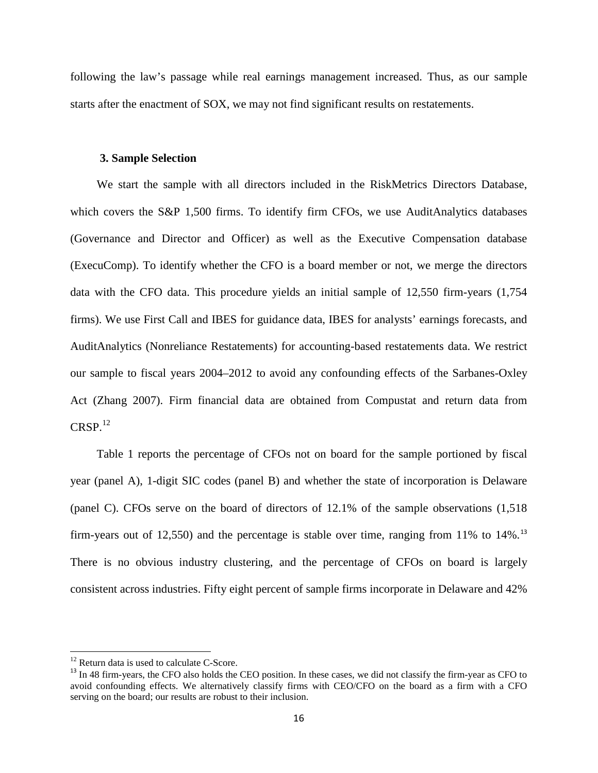following the law's passage while real earnings management increased. Thus, as our sample starts after the enactment of SOX, we may not find significant results on restatements.

#### **3. Sample Selection**

We start the sample with all directors included in the RiskMetrics Directors Database, which covers the S&P 1,500 firms. To identify firm CFOs, we use AuditAnalytics databases (Governance and Director and Officer) as well as the Executive Compensation database (ExecuComp). To identify whether the CFO is a board member or not, we merge the directors data with the CFO data. This procedure yields an initial sample of 12,550 firm-years (1,754 firms). We use First Call and IBES for guidance data, IBES for analysts' earnings forecasts, and AuditAnalytics (Nonreliance Restatements) for accounting-based restatements data. We restrict our sample to fiscal years 2004–2012 to avoid any confounding effects of the Sarbanes-Oxley Act (Zhang 2007). Firm financial data are obtained from Compustat and return data from  $CRSP.<sup>12</sup>$  $CRSP.<sup>12</sup>$  $CRSP.<sup>12</sup>$ 

Table 1 reports the percentage of CFOs not on board for the sample portioned by fiscal year (panel A), 1-digit SIC codes (panel B) and whether the state of incorporation is Delaware (panel C). CFOs serve on the board of directors of 12.1% of the sample observations (1,518 firm-years out of 12,550) and the percentage is stable over time, ranging from 11% to  $14\%$ .<sup>[13](#page-15-1)</sup> There is no obvious industry clustering, and the percentage of CFOs on board is largely consistent across industries. Fifty eight percent of sample firms incorporate in Delaware and 42%

<span id="page-15-1"></span><span id="page-15-0"></span><sup>&</sup>lt;sup>12</sup> Return data is used to calculate C-Score.<br><sup>13</sup> In 48 firm-years, the CFO also holds the CEO position. In these cases, we did not classify the firm-year as CFO to avoid confounding effects. We alternatively classify firms with CEO/CFO on the board as a firm with a CFO serving on the board; our results are robust to their inclusion.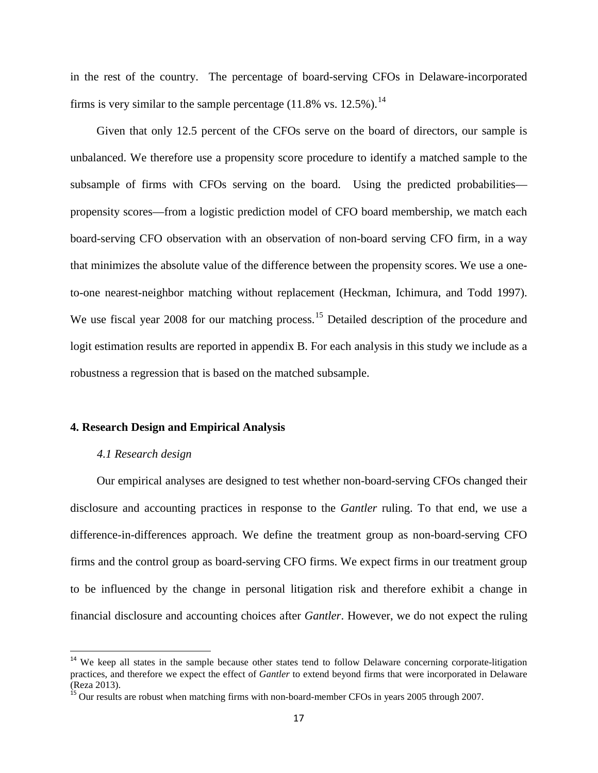in the rest of the country. The percentage of board-serving CFOs in Delaware-incorporated firms is very similar to the sample percentage  $(11.8\% \text{ vs. } 12.5\%).^{14}$  $(11.8\% \text{ vs. } 12.5\%).^{14}$  $(11.8\% \text{ vs. } 12.5\%).^{14}$ 

Given that only 12.5 percent of the CFOs serve on the board of directors, our sample is unbalanced. We therefore use a propensity score procedure to identify a matched sample to the subsample of firms with CFOs serving on the board. Using the predicted probabilities propensity scores—from a logistic prediction model of CFO board membership, we match each board-serving CFO observation with an observation of non-board serving CFO firm, in a way that minimizes the absolute value of the difference between the propensity scores. We use a oneto-one nearest-neighbor matching without replacement (Heckman, Ichimura, and Todd 1997). We use fiscal year 2008 for our matching process.<sup>[15](#page-16-1)</sup> Detailed description of the procedure and logit estimation results are reported in appendix B. For each analysis in this study we include as a robustness a regression that is based on the matched subsample.

#### **4. Research Design and Empirical Analysis**

### *4.1 Research design*

Our empirical analyses are designed to test whether non-board-serving CFOs changed their disclosure and accounting practices in response to the *Gantler* ruling. To that end, we use a difference-in-differences approach. We define the treatment group as non-board-serving CFO firms and the control group as board-serving CFO firms. We expect firms in our treatment group to be influenced by the change in personal litigation risk and therefore exhibit a change in financial disclosure and accounting choices after *Gantler*. However, we do not expect the ruling

<span id="page-16-0"></span><sup>&</sup>lt;sup>14</sup> We keep all states in the sample because other states tend to follow Delaware concerning corporate-litigation practices, and therefore we expect the effect of *Gantler* to extend beyond firms that were incorporated in Delaware (Reza 2013).<br><sup>15</sup> Our results are robust when matching firms with non-board-member CFOs in years 2005 through 2007.

<span id="page-16-1"></span>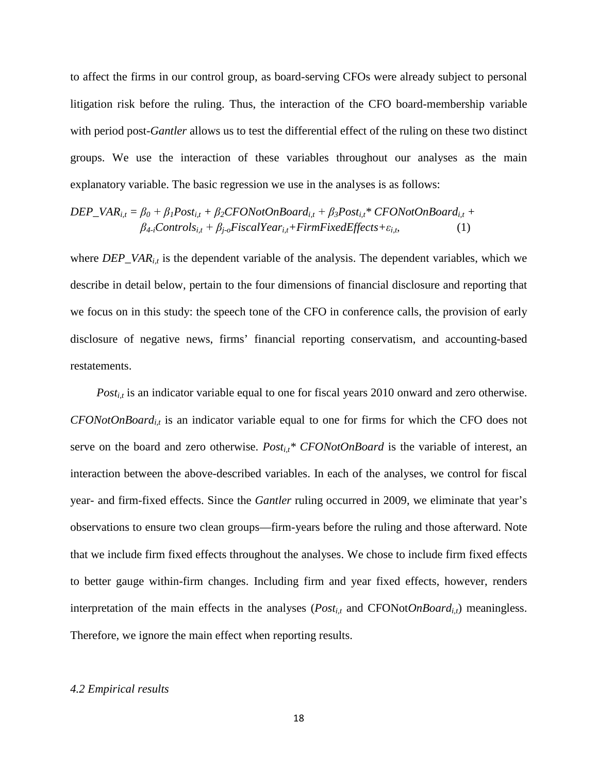to affect the firms in our control group, as board-serving CFOs were already subject to personal litigation risk before the ruling. Thus, the interaction of the CFO board-membership variable with period post-*Gantler* allows us to test the differential effect of the ruling on these two distinct groups. We use the interaction of these variables throughout our analyses as the main explanatory variable. The basic regression we use in the analyses is as follows:

$$
DEP_{A_i,t} = \beta_0 + \beta_1 Post_{i,t} + \beta_2 CFONotOnBoard_{i,t} + \beta_3 Post_{i,t} * CFONotOnBoard_{i,t} + \beta_4 Fontrols_{i,t} + \beta_5 FiscalYear_{i,t} + FirmFixedEffects + \varepsilon_{i,t},
$$
 (1)

where *DEP\_VAR<sub>it</sub>* is the dependent variable of the analysis. The dependent variables, which we describe in detail below, pertain to the four dimensions of financial disclosure and reporting that we focus on in this study: the speech tone of the CFO in conference calls, the provision of early disclosure of negative news, firms' financial reporting conservatism, and accounting-based restatements.

*Post<sub>i,t</sub>* is an indicator variable equal to one for fiscal years 2010 onward and zero otherwise. *CFONotOnBoard<sub>it</sub>* is an indicator variable equal to one for firms for which the CFO does not serve on the board and zero otherwise.  $Post_{i,t}^* CFONotOnBoard$  is the variable of interest, an interaction between the above-described variables. In each of the analyses, we control for fiscal year- and firm-fixed effects. Since the *Gantler* ruling occurred in 2009, we eliminate that year's observations to ensure two clean groups—firm-years before the ruling and those afterward. Note that we include firm fixed effects throughout the analyses. We chose to include firm fixed effects to better gauge within-firm changes. Including firm and year fixed effects, however, renders interpretation of the main effects in the analyses ( $Post_{i,t}$  and  $CFONotOnBoard_{i,t}$ ) meaningless. Therefore, we ignore the main effect when reporting results.

#### *4.2 Empirical results*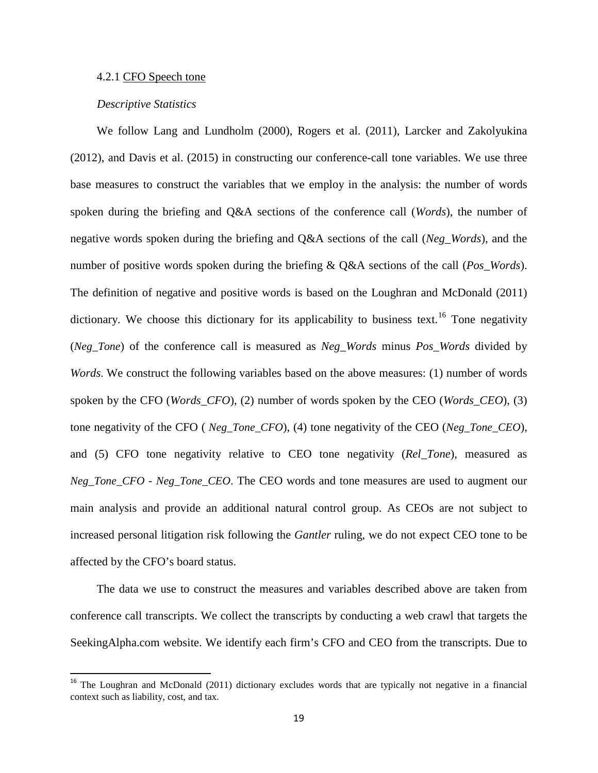#### 4.2.1 CFO Speech tone

#### *Descriptive Statistics*

We follow Lang and Lundholm (2000), Rogers et al. (2011), Larcker and Zakolyukina (2012), and Davis et al. (2015) in constructing our conference-call tone variables. We use three base measures to construct the variables that we employ in the analysis: the number of words spoken during the briefing and Q&A sections of the conference call (*Words*), the number of negative words spoken during the briefing and Q&A sections of the call (*Neg\_Words*), and the number of positive words spoken during the briefing & Q&A sections of the call (*Pos\_Words*). The definition of negative and positive words is based on the Loughran and McDonald (2011) dictionary. We choose this dictionary for its applicability to business text.<sup>[16](#page-18-0)</sup> Tone negativity (*Neg\_Tone*) of the conference call is measured as *Neg\_Words* minus *Pos\_Words* divided by *Words*. We construct the following variables based on the above measures: (1) number of words spoken by the CFO (*Words\_CFO*), (2) number of words spoken by the CEO (*Words\_CEO*), (3) tone negativity of the CFO ( *Neg\_Tone\_CFO*), (4) tone negativity of the CEO (*Neg\_Tone\_CEO*), and (5) CFO tone negativity relative to CEO tone negativity (*Rel\_Tone*), measured as *Neg\_Tone\_CFO* - *Neg\_Tone\_CEO*. The CEO words and tone measures are used to augment our main analysis and provide an additional natural control group. As CEOs are not subject to increased personal litigation risk following the *Gantler* ruling, we do not expect CEO tone to be affected by the CFO's board status.

The data we use to construct the measures and variables described above are taken from conference call transcripts. We collect the transcripts by conducting a web crawl that targets the SeekingAlpha.com website. We identify each firm's CFO and CEO from the transcripts. Due to

<span id="page-18-0"></span><sup>&</sup>lt;sup>16</sup> The Loughran and McDonald (2011) dictionary excludes words that are typically not negative in a financial context such as liability, cost, and tax.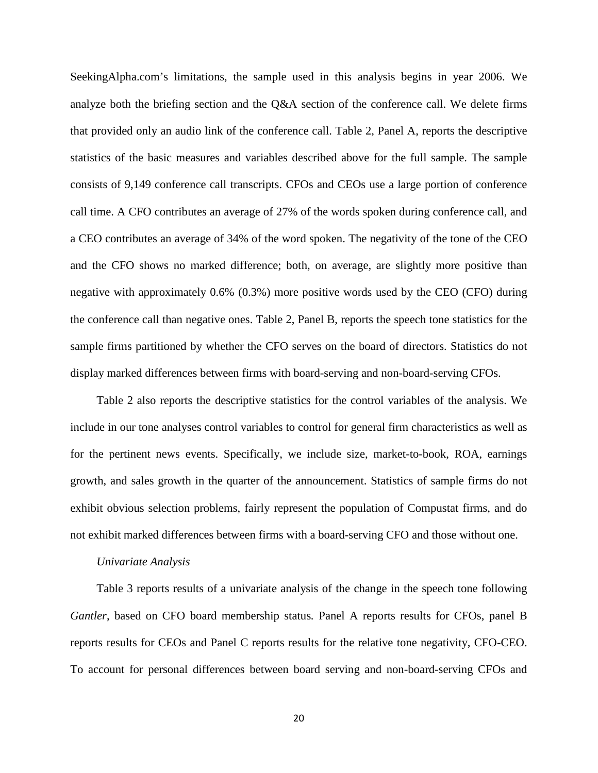SeekingAlpha.com's limitations, the sample used in this analysis begins in year 2006. We analyze both the briefing section and the Q&A section of the conference call. We delete firms that provided only an audio link of the conference call. Table 2, Panel A, reports the descriptive statistics of the basic measures and variables described above for the full sample. The sample consists of 9,149 conference call transcripts. CFOs and CEOs use a large portion of conference call time. A CFO contributes an average of 27% of the words spoken during conference call, and a CEO contributes an average of 34% of the word spoken. The negativity of the tone of the CEO and the CFO shows no marked difference; both, on average, are slightly more positive than negative with approximately 0.6% (0.3%) more positive words used by the CEO (CFO) during the conference call than negative ones. Table 2, Panel B, reports the speech tone statistics for the sample firms partitioned by whether the CFO serves on the board of directors. Statistics do not display marked differences between firms with board-serving and non-board-serving CFOs.

Table 2 also reports the descriptive statistics for the control variables of the analysis. We include in our tone analyses control variables to control for general firm characteristics as well as for the pertinent news events. Specifically, we include size, market-to-book, ROA, earnings growth, and sales growth in the quarter of the announcement. Statistics of sample firms do not exhibit obvious selection problems, fairly represent the population of Compustat firms, and do not exhibit marked differences between firms with a board-serving CFO and those without one.

#### *Univariate Analysis*

Table 3 reports results of a univariate analysis of the change in the speech tone following *Gantler*, based on CFO board membership status*.* Panel A reports results for CFOs, panel B reports results for CEOs and Panel C reports results for the relative tone negativity, CFO-CEO. To account for personal differences between board serving and non-board-serving CFOs and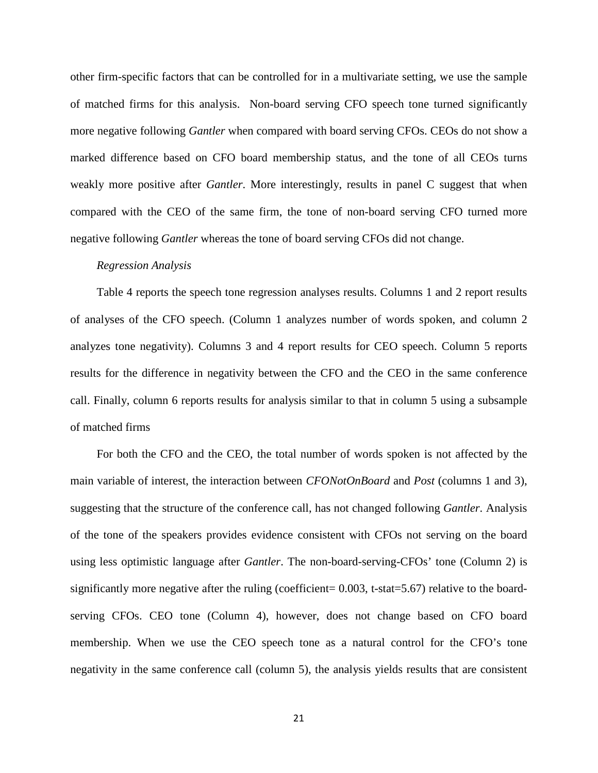other firm-specific factors that can be controlled for in a multivariate setting, we use the sample of matched firms for this analysis. Non-board serving CFO speech tone turned significantly more negative following *Gantler* when compared with board serving CFOs. CEOs do not show a marked difference based on CFO board membership status, and the tone of all CEOs turns weakly more positive after *Gantler*. More interestingly, results in panel C suggest that when compared with the CEO of the same firm, the tone of non-board serving CFO turned more negative following *Gantler* whereas the tone of board serving CFOs did not change.

#### *Regression Analysis*

Table 4 reports the speech tone regression analyses results. Columns 1 and 2 report results of analyses of the CFO speech. (Column 1 analyzes number of words spoken, and column 2 analyzes tone negativity). Columns 3 and 4 report results for CEO speech. Column 5 reports results for the difference in negativity between the CFO and the CEO in the same conference call. Finally, column 6 reports results for analysis similar to that in column 5 using a subsample of matched firms

For both the CFO and the CEO, the total number of words spoken is not affected by the main variable of interest, the interaction between *CFONotOnBoard* and *Post* (columns 1 and 3), suggesting that the structure of the conference call, has not changed following *Gantler*. Analysis of the tone of the speakers provides evidence consistent with CFOs not serving on the board using less optimistic language after *Gantler*. The non-board-serving-CFOs' tone (Column 2) is significantly more negative after the ruling (coefficient= 0.003, t-stat=5.67) relative to the boardserving CFOs. CEO tone (Column 4), however, does not change based on CFO board membership. When we use the CEO speech tone as a natural control for the CFO's tone negativity in the same conference call (column 5), the analysis yields results that are consistent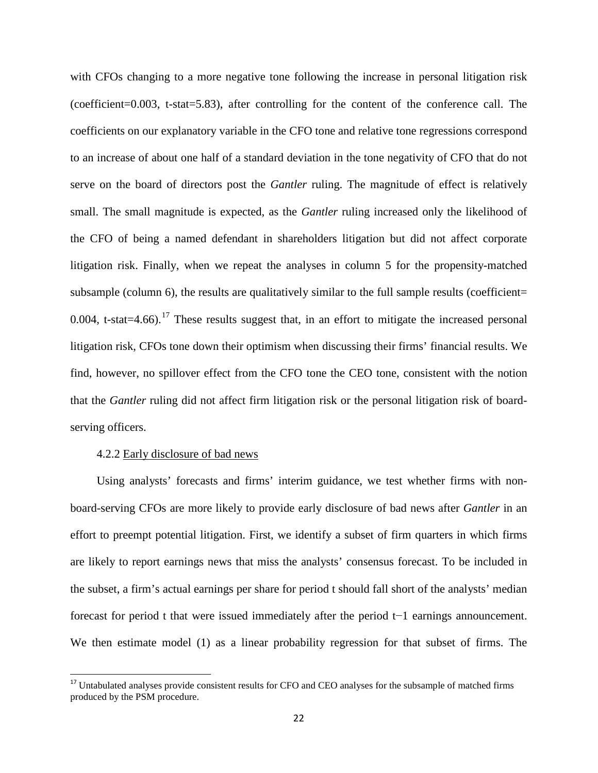with CFOs changing to a more negative tone following the increase in personal litigation risk (coefficient=0.003, t-stat=5.83), after controlling for the content of the conference call. The coefficients on our explanatory variable in the CFO tone and relative tone regressions correspond to an increase of about one half of a standard deviation in the tone negativity of CFO that do not serve on the board of directors post the *Gantler* ruling. The magnitude of effect is relatively small. The small magnitude is expected, as the *Gantler* ruling increased only the likelihood of the CFO of being a named defendant in shareholders litigation but did not affect corporate litigation risk. Finally, when we repeat the analyses in column 5 for the propensity-matched subsample (column 6), the results are qualitatively similar to the full sample results (coefficient= 0.004, t-stat=4.66).<sup>[17](#page-21-0)</sup> These results suggest that, in an effort to mitigate the increased personal litigation risk, CFOs tone down their optimism when discussing their firms' financial results. We find, however, no spillover effect from the CFO tone the CEO tone, consistent with the notion that the *Gantler* ruling did not affect firm litigation risk or the personal litigation risk of boardserving officers.

#### 4.2.2 Early disclosure of bad news

Using analysts' forecasts and firms' interim guidance, we test whether firms with nonboard-serving CFOs are more likely to provide early disclosure of bad news after *Gantler* in an effort to preempt potential litigation. First, we identify a subset of firm quarters in which firms are likely to report earnings news that miss the analysts' consensus forecast. To be included in the subset, a firm's actual earnings per share for period t should fall short of the analysts' median forecast for period t that were issued immediately after the period t−1 earnings announcement. We then estimate model (1) as a linear probability regression for that subset of firms. The

<span id="page-21-0"></span><sup>&</sup>lt;sup>17</sup> Untabulated analyses provide consistent results for CFO and CEO analyses for the subsample of matched firms produced by the PSM procedure.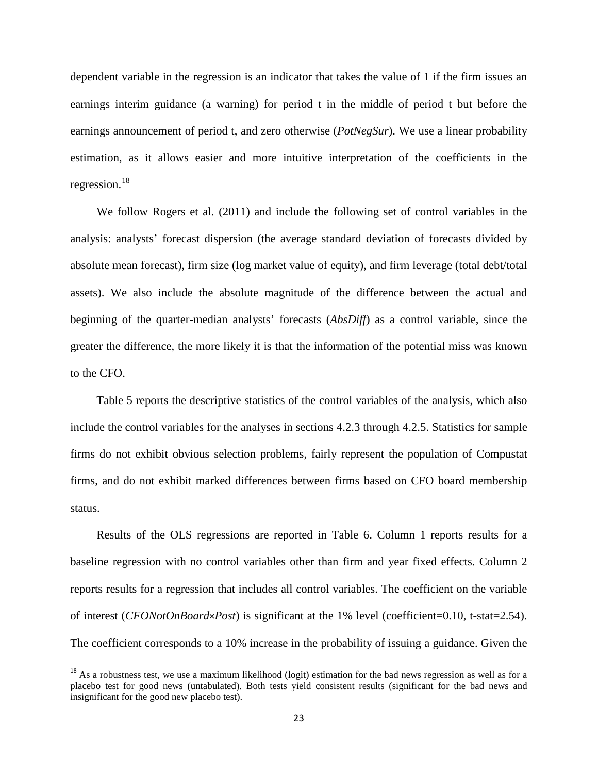dependent variable in the regression is an indicator that takes the value of 1 if the firm issues an earnings interim guidance (a warning) for period t in the middle of period t but before the earnings announcement of period t, and zero otherwise (*PotNegSur*). We use a linear probability estimation, as it allows easier and more intuitive interpretation of the coefficients in the regression.<sup>[18](#page-22-0)</sup>

We follow Rogers et al. (2011) and include the following set of control variables in the analysis: analysts' forecast dispersion (the average standard deviation of forecasts divided by absolute mean forecast), firm size (log market value of equity), and firm leverage (total debt/total assets). We also include the absolute magnitude of the difference between the actual and beginning of the quarter-median analysts' forecasts (*AbsDiff*) as a control variable, since the greater the difference, the more likely it is that the information of the potential miss was known to the CFO.

Table 5 reports the descriptive statistics of the control variables of the analysis, which also include the control variables for the analyses in sections 4.2.3 through 4.2.5. Statistics for sample firms do not exhibit obvious selection problems, fairly represent the population of Compustat firms, and do not exhibit marked differences between firms based on CFO board membership status.

Results of the OLS regressions are reported in Table 6. Column 1 reports results for a baseline regression with no control variables other than firm and year fixed effects. Column 2 reports results for a regression that includes all control variables. The coefficient on the variable of interest (*CFONotOnBoard*×*Post*) is significant at the 1% level (coefficient=0.10, t-stat=2.54). The coefficient corresponds to a 10% increase in the probability of issuing a guidance. Given the

<span id="page-22-0"></span> $18$  As a robustness test, we use a maximum likelihood (logit) estimation for the bad news regression as well as for a placebo test for good news (untabulated). Both tests yield consistent results (significant for the bad news and insignificant for the good new placebo test).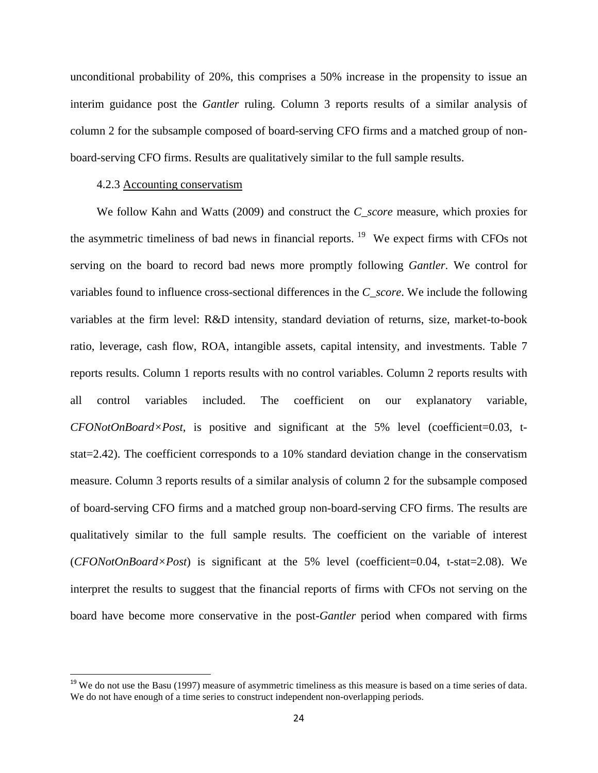unconditional probability of 20%, this comprises a 50% increase in the propensity to issue an interim guidance post the *Gantler* ruling. Column 3 reports results of a similar analysis of column 2 for the subsample composed of board-serving CFO firms and a matched group of nonboard-serving CFO firms. Results are qualitatively similar to the full sample results.

#### 4.2.3 Accounting conservatism

We follow Kahn and Watts (2009) and construct the *C\_score* measure, which proxies for the asymmetric timeliness of bad news in financial reports. [19](#page-23-0) We expect firms with CFOs not serving on the board to record bad news more promptly following *Gantler*. We control for variables found to influence cross-sectional differences in the *C\_score*. We include the following variables at the firm level: R&D intensity, standard deviation of returns, size, market-to-book ratio, leverage, cash flow, ROA, intangible assets, capital intensity, and investments. Table 7 reports results. Column 1 reports results with no control variables. Column 2 reports results with all control variables included. The coefficient on our explanatory variable, *CFONotOnBoard×Post*, is positive and significant at the 5% level (coefficient=0.03, tstat=2.42). The coefficient corresponds to a 10% standard deviation change in the conservatism measure. Column 3 reports results of a similar analysis of column 2 for the subsample composed of board-serving CFO firms and a matched group non-board-serving CFO firms. The results are qualitatively similar to the full sample results. The coefficient on the variable of interest (*CFONotOnBoard×Post*) is significant at the 5% level (coefficient=0.04, t-stat=2.08). We interpret the results to suggest that the financial reports of firms with CFOs not serving on the board have become more conservative in the post-*Gantler* period when compared with firms

<span id="page-23-0"></span> $19$  We do not use the Basu (1997) measure of asymmetric timeliness as this measure is based on a time series of data. We do not have enough of a time series to construct independent non-overlapping periods.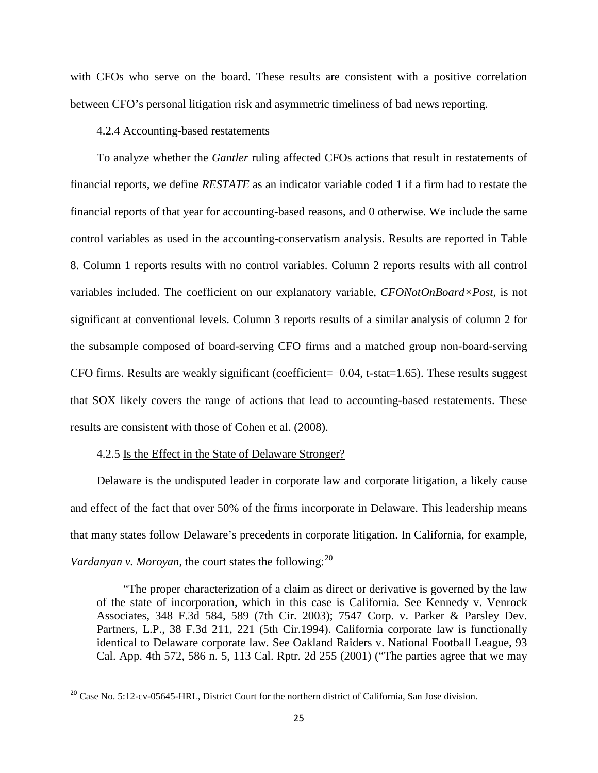with CFOs who serve on the board. These results are consistent with a positive correlation between CFO's personal litigation risk and asymmetric timeliness of bad news reporting.

### 4.2.4 Accounting-based restatements

To analyze whether the *Gantler* ruling affected CFOs actions that result in restatements of financial reports, we define *RESTATE* as an indicator variable coded 1 if a firm had to restate the financial reports of that year for accounting-based reasons, and 0 otherwise. We include the same control variables as used in the accounting-conservatism analysis. Results are reported in Table 8. Column 1 reports results with no control variables. Column 2 reports results with all control variables included. The coefficient on our explanatory variable, *CFONotOnBoard×Post*, is not significant at conventional levels. Column 3 reports results of a similar analysis of column 2 for the subsample composed of board-serving CFO firms and a matched group non-board-serving CFO firms. Results are weakly significant (coefficient=−0.04, t-stat=1.65). These results suggest that SOX likely covers the range of actions that lead to accounting-based restatements. These results are consistent with those of Cohen et al. (2008).

#### 4.2.5 Is the Effect in the State of Delaware Stronger?

Delaware is the undisputed leader in corporate law and corporate litigation, a likely cause and effect of the fact that over 50% of the firms incorporate in Delaware. This leadership means that many states follow Delaware's precedents in corporate litigation. In California, for example, *Vardanyan v. Moroyan*, the court states the following:<sup>[20](#page-24-0)</sup>

"The proper characterization of a claim as direct or derivative is governed by the law of the state of incorporation, which in this case is California. See Kennedy v. Venrock Associates, 348 F.3d 584, 589 (7th Cir. 2003); 7547 Corp. v. Parker & Parsley Dev. Partners, L.P., 38 F.3d 211, 221 (5th Cir.1994). California corporate law is functionally identical to Delaware corporate law. See Oakland Raiders v. National Football League, 93 Cal. App. 4th 572, 586 n. 5, 113 Cal. Rptr. 2d 255 (2001) ("The parties agree that we may

<span id="page-24-0"></span><sup>&</sup>lt;sup>20</sup> Case No. 5:12-cv-05645-HRL, District Court for the northern district of California, San Jose division.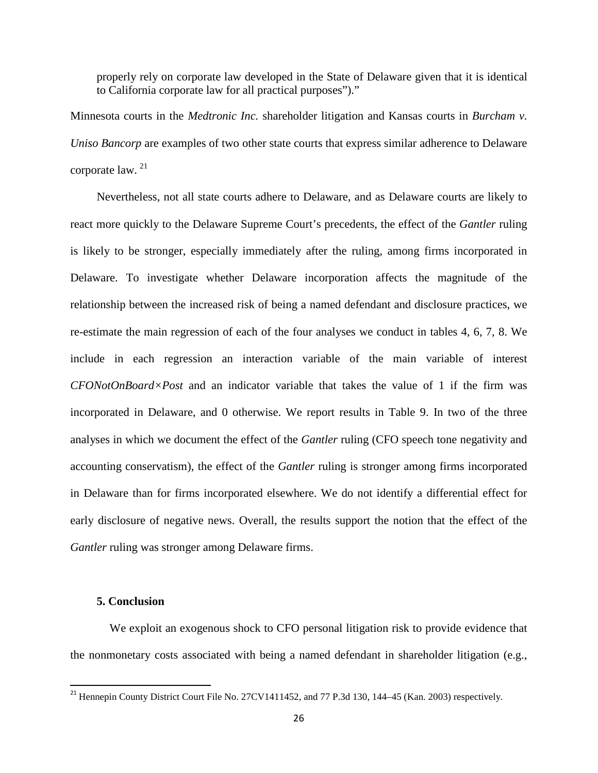properly rely on corporate law developed in the State of Delaware given that it is identical to California corporate law for all practical purposes")."

Minnesota courts in the *Medtronic Inc.* shareholder litigation and Kansas courts in *Burcham v. Uniso Bancorp* are examples of two other state courts that express similar adherence to Delaware corporate law. [21](#page-25-0)

Nevertheless, not all state courts adhere to Delaware, and as Delaware courts are likely to react more quickly to the Delaware Supreme Court's precedents, the effect of the *Gantler* ruling is likely to be stronger, especially immediately after the ruling, among firms incorporated in Delaware. To investigate whether Delaware incorporation affects the magnitude of the relationship between the increased risk of being a named defendant and disclosure practices, we re-estimate the main regression of each of the four analyses we conduct in tables 4, 6, 7, 8. We include in each regression an interaction variable of the main variable of interest *CFONotOnBoard×Post* and an indicator variable that takes the value of 1 if the firm was incorporated in Delaware, and 0 otherwise. We report results in Table 9. In two of the three analyses in which we document the effect of the *Gantler* ruling (CFO speech tone negativity and accounting conservatism), the effect of the *Gantler* ruling is stronger among firms incorporated in Delaware than for firms incorporated elsewhere. We do not identify a differential effect for early disclosure of negative news. Overall, the results support the notion that the effect of the *Gantler* ruling was stronger among Delaware firms.

## **5. Conclusion**

We exploit an exogenous shock to CFO personal litigation risk to provide evidence that the nonmonetary costs associated with being a named defendant in shareholder litigation (e.g.,

<span id="page-25-0"></span><sup>&</sup>lt;sup>21</sup> Hennepin County District Court File No. 27CV1411452, and 77 P.3d 130, 144–45 (Kan. 2003) respectively.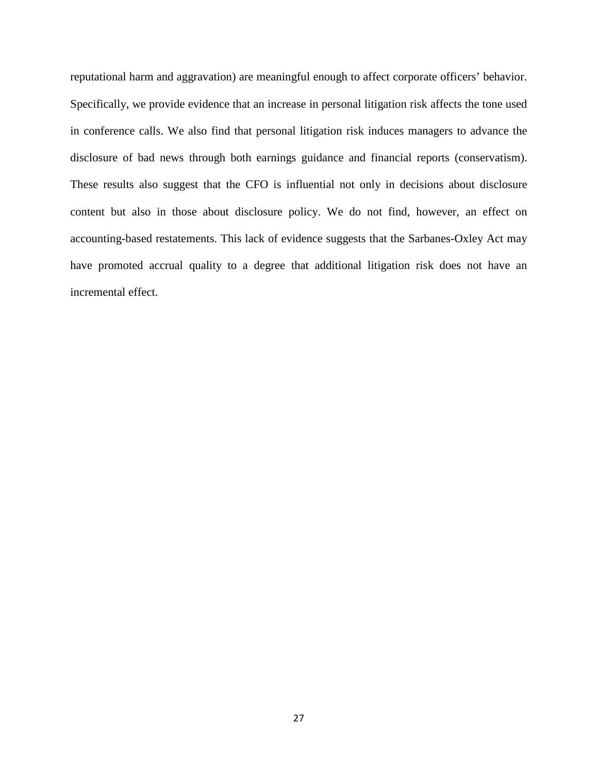reputational harm and aggravation) are meaningful enough to affect corporate officers' behavior. Specifically, we provide evidence that an increase in personal litigation risk affects the tone used in conference calls. We also find that personal litigation risk induces managers to advance the disclosure of bad news through both earnings guidance and financial reports (conservatism). These results also suggest that the CFO is influential not only in decisions about disclosure content but also in those about disclosure policy. We do not find, however, an effect on accounting-based restatements. This lack of evidence suggests that the Sarbanes-Oxley Act may have promoted accrual quality to a degree that additional litigation risk does not have an incremental effect.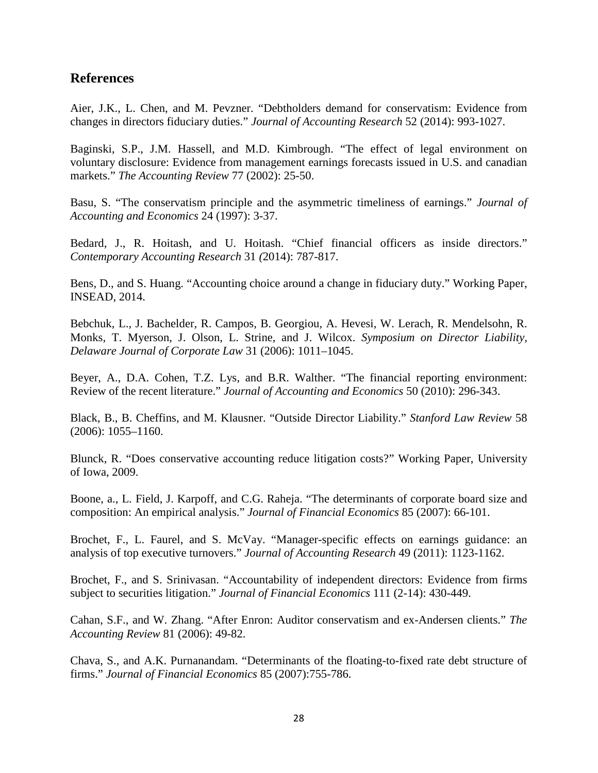## **References**

Aier, J.K., L. Chen, and M. Pevzner. "Debtholders demand for conservatism: Evidence from changes in directors fiduciary duties." *Journal of Accounting Research* 52 (2014): 993-1027.

Baginski, S.P., J.M. Hassell, and M.D. Kimbrough. "The effect of legal environment on voluntary disclosure: Evidence from management earnings forecasts issued in U.S. and canadian markets." *The Accounting Review* 77 (2002): 25-50.

Basu, S. "The conservatism principle and the asymmetric timeliness of earnings." *Journal of Accounting and Economics* 24 (1997): 3-37.

Bedard, J., R. Hoitash, and U. Hoitash. "Chief financial officers as inside directors." *Contemporary Accounting Research* 31 *(*2014): 787-817.

Bens, D., and S. Huang. "Accounting choice around a change in fiduciary duty." Working Paper, INSEAD, 2014.

Bebchuk, L., J. Bachelder, R. Campos, B. Georgiou, A. Hevesi, W. Lerach, R. Mendelsohn, R. Monks, T. Myerson, J. Olson, L. Strine, and J. Wilcox. *Symposium on Director Liability, Delaware Journal of Corporate Law* 31 (2006): 1011–1045.

Beyer, A., D.A. Cohen, T.Z. Lys, and B.R. Walther. "The financial reporting environment: Review of the recent literature." *Journal of Accounting and Economics* 50 (2010): 296-343.

Black, B., B. Cheffins, and M. Klausner. "Outside Director Liability." *Stanford Law Review* 58 (2006): 1055–1160.

Blunck, R. "Does conservative accounting reduce litigation costs?" Working Paper, University of Iowa, 2009.

Boone, a., L. Field, J. Karpoff, and C.G. Raheja. "The determinants of corporate board size and composition: An empirical analysis." *Journal of Financial Economics* 85 (2007): 66-101.

Brochet, F., L. Faurel, and S. McVay. "Manager-specific effects on earnings guidance: an analysis of top executive turnovers." *Journal of Accounting Research* 49 (2011): 1123-1162.

Brochet, F., and S. Srinivasan. "Accountability of independent directors: Evidence from firms subject to securities litigation." *Journal of Financial Economics* 111 (2-14): 430-449.

Cahan, S.F., and W. Zhang. "After Enron: Auditor conservatism and ex-Andersen clients." *The Accounting Review* 81 (2006): 49-82.

Chava, S., and A.K. Purnanandam. "Determinants of the floating-to-fixed rate debt structure of firms." *Journal of Financial Economics* 85 (2007):755-786.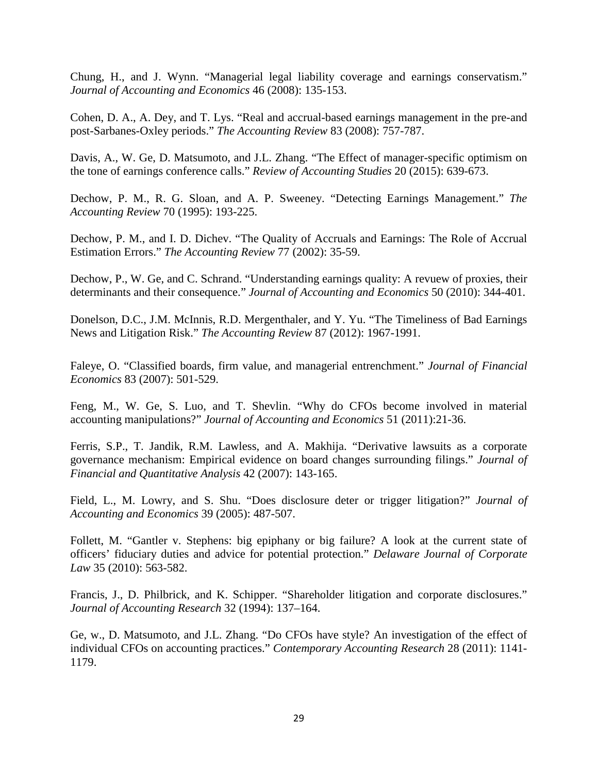Chung, H., and J. Wynn. "Managerial legal liability coverage and earnings conservatism." *Journal of Accounting and Economics* 46 (2008): 135-153.

Cohen, D. A., A. Dey, and T. Lys. "Real and accrual-based earnings management in the pre-and post-Sarbanes-Oxley periods." *The Accounting Review* 83 (2008): 757-787.

Davis, A., W. Ge, D. Matsumoto, and J.L. Zhang. "The Effect of manager-specific optimism on the tone of earnings conference calls." *Review of Accounting Studies* 20 (2015): 639-673.

Dechow, P. M., R. G. Sloan, and A. P. Sweeney. "Detecting Earnings Management." *The Accounting Review* 70 (1995): 193-225.

Dechow, P. M., and I. D. Dichev. "The Quality of Accruals and Earnings: The Role of Accrual Estimation Errors." *The Accounting Review* 77 (2002): 35-59.

Dechow, P., W. Ge, and C. Schrand. "Understanding earnings quality: A revuew of proxies, their determinants and their consequence." *Journal of Accounting and Economics* 50 (2010): 344-401.

Donelson, D.C., J.M. McInnis, R.D. Mergenthaler, and Y. Yu. "The Timeliness of Bad Earnings News and Litigation Risk." *The Accounting Review* 87 (2012): 1967-1991.

Faleye, O. "Classified boards, firm value, and managerial entrenchment." *Journal of Financial Economics* 83 (2007): 501-529.

Feng, M., W. Ge, S. Luo, and T. Shevlin. "Why do CFOs become involved in material accounting manipulations?" *Journal of Accounting and Economics* 51 (2011):21-36.

Ferris, S.P., T. Jandik, R.M. Lawless, and A. Makhija. "Derivative lawsuits as a corporate governance mechanism: Empirical evidence on board changes surrounding filings." *Journal of Financial and Quantitative Analysis* 42 (2007): 143-165.

Field, L., M. Lowry, and S. Shu. "Does disclosure deter or trigger litigation?" *Journal of Accounting and Economics* 39 (2005): 487-507.

Follett, M. "Gantler v. Stephens: big epiphany or big failure? A look at the current state of officers' fiduciary duties and advice for potential protection." *Delaware Journal of Corporate Law* 35 (2010): 563-582.

Francis, J., D. Philbrick, and K. Schipper. "Shareholder litigation and corporate disclosures." *Journal of Accounting Research* 32 (1994): 137–164.

Ge, w., D. Matsumoto, and J.L. Zhang. "Do CFOs have style? An investigation of the effect of individual CFOs on accounting practices." *Contemporary Accounting Research* 28 (2011): 1141- 1179.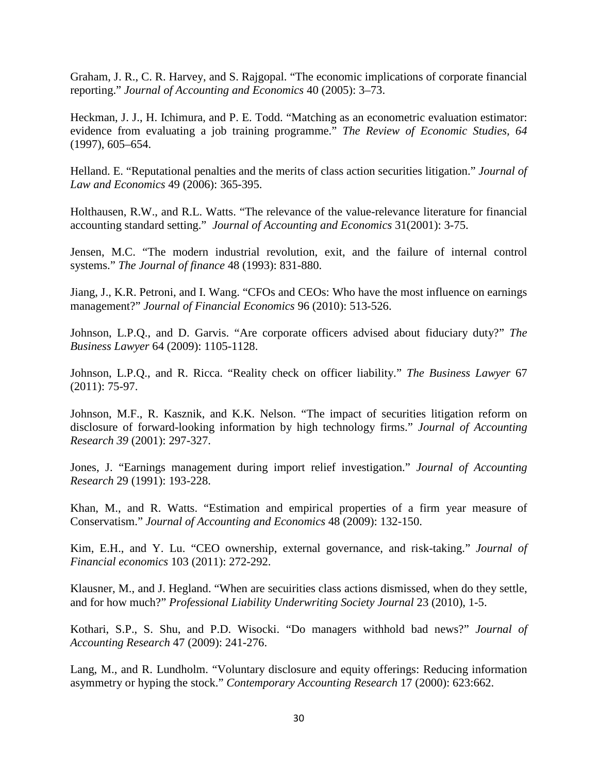Graham, J. R., C. R. Harvey, and S. Rajgopal. "The economic implications of corporate financial reporting." *Journal of Accounting and Economics* 40 (2005): 3–73.

Heckman, J. J., H. Ichimura, and P. E. Todd. "Matching as an econometric evaluation estimator: evidence from evaluating a job training programme." *The Review of Economic Studies, 64* (1997), 605–654.

Helland. E. "Reputational penalties and the merits of class action securities litigation." *Journal of Law and Economics* 49 (2006): 365-395.

Holthausen, R.W., and R.L. Watts. "The relevance of the value-relevance literature for financial accounting standard setting." *Journal of Accounting and Economics* 31(2001): 3-75.

Jensen, M.C. "The modern industrial revolution, exit, and the failure of internal control systems." *The Journal of finance* 48 (1993): 831-880.

Jiang, J., K.R. Petroni, and I. Wang. "CFOs and CEOs: Who have the most influence on earnings management?" *Journal of Financial Economics* 96 (2010): 513-526.

Johnson, L.P.Q., and D. Garvis. "Are corporate officers advised about fiduciary duty?" *The Business Lawyer* 64 (2009): 1105-1128.

Johnson, L.P.Q., and R. Ricca. "Reality check on officer liability." *The Business Lawyer* 67 (2011): 75-97.

Johnson, M.F., R. Kasznik, and K.K. Nelson. "The impact of securities litigation reform on disclosure of forward-looking information by high technology firms." *Journal of Accounting Research 39* (2001): 297-327.

Jones, J. "Earnings management during import relief investigation." *Journal of Accounting Research* 29 (1991): 193-228.

Khan, M., and R. Watts. "Estimation and empirical properties of a firm year measure of Conservatism." *Journal of Accounting and Economics* 48 (2009): 132-150.

Kim, E.H., and Y. Lu. "CEO ownership, external governance, and risk-taking." *Journal of Financial economics* 103 (2011): 272-292.

Klausner, M., and J. Hegland. "When are secuirities class actions dismissed, when do they settle, and for how much?" *Professional Liability Underwriting Society Journal* 23 (2010), 1-5.

Kothari, S.P., S. Shu, and P.D. Wisocki. "Do managers withhold bad news?" *Journal of Accounting Research* 47 (2009): 241-276.

Lang, M., and R. Lundholm. "Voluntary disclosure and equity offerings: Reducing information asymmetry or hyping the stock." *Contemporary Accounting Research* 17 (2000): 623:662.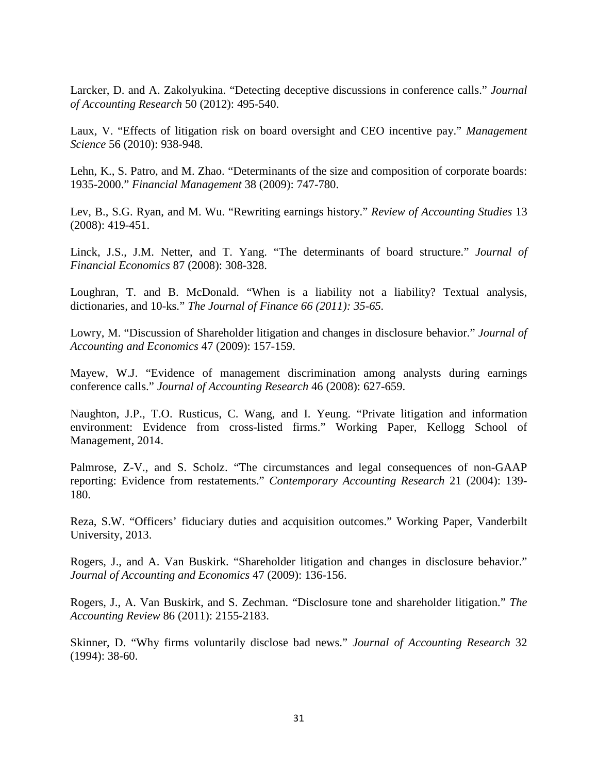Larcker, D. and A. Zakolyukina. "Detecting deceptive discussions in conference calls." *Journal of Accounting Research* 50 (2012): 495-540.

Laux, V. "Effects of litigation risk on board oversight and CEO incentive pay." *Management Science* 56 (2010): 938-948.

Lehn, K., S. Patro, and M. Zhao. "Determinants of the size and composition of corporate boards: 1935-2000." *Financial Management* 38 (2009): 747-780.

Lev, B., S.G. Ryan, and M. Wu. "Rewriting earnings history." *Review of Accounting Studies* 13 (2008): 419-451.

Linck, J.S., J.M. Netter, and T. Yang. "The determinants of board structure." *Journal of Financial Economics* 87 (2008): 308-328.

Loughran, T. and B. McDonald. "When is a liability not a liability? Textual analysis, dictionaries, and 10-ks." *The Journal of Finance 66 (2011): 35-65.*

Lowry, M. "Discussion of Shareholder litigation and changes in disclosure behavior." *Journal of Accounting and Economics* 47 (2009): 157-159.

Mayew, W.J. "Evidence of management discrimination among analysts during earnings conference calls." *Journal of Accounting Research* 46 (2008): 627-659.

Naughton, J.P., T.O. Rusticus, C. Wang, and I. Yeung. "Private litigation and information environment: Evidence from cross-listed firms." Working Paper, Kellogg School of Management, 2014.

Palmrose, Z-V., and S. Scholz. "The circumstances and legal consequences of non-GAAP reporting: Evidence from restatements." *Contemporary Accounting Research* 21 (2004): 139- 180.

Reza, S.W. "Officers' fiduciary duties and acquisition outcomes." Working Paper, Vanderbilt University, 2013.

Rogers, J., and A. Van Buskirk. "Shareholder litigation and changes in disclosure behavior." *Journal of Accounting and Economics* 47 (2009): 136-156.

Rogers, J., A. Van Buskirk, and S. Zechman. "Disclosure tone and shareholder litigation." *The Accounting Review* 86 (2011): 2155-2183.

Skinner, D. "Why firms voluntarily disclose bad news." *Journal of Accounting Research* 32 (1994): 38-60.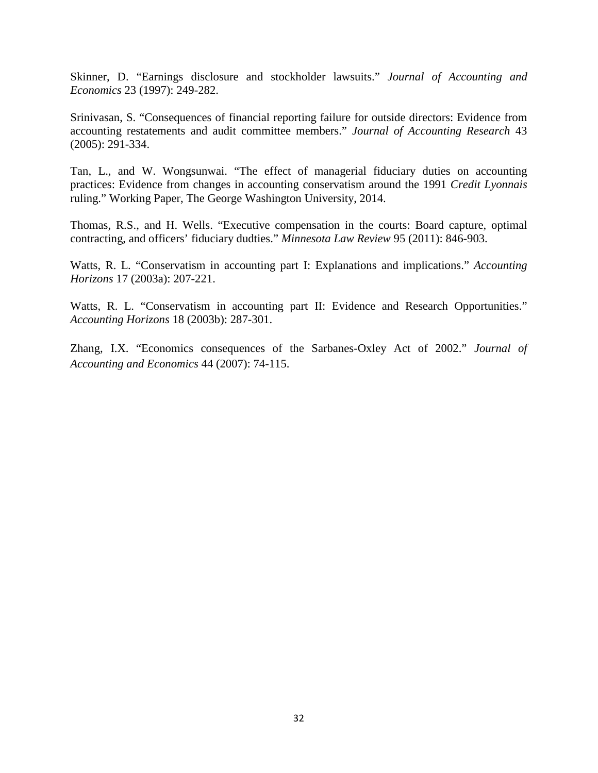Skinner, D. "Earnings disclosure and stockholder lawsuits." *Journal of Accounting and Economics* 23 (1997): 249-282.

Srinivasan, S. "Consequences of financial reporting failure for outside directors: Evidence from accounting restatements and audit committee members." *Journal of Accounting Research* 43 (2005): 291-334.

Tan, L., and W. Wongsunwai. "The effect of managerial fiduciary duties on accounting practices: Evidence from changes in accounting conservatism around the 1991 *Credit Lyonnais* ruling." Working Paper, The George Washington University, 2014.

Thomas, R.S., and H. Wells. "Executive compensation in the courts: Board capture, optimal contracting, and officers' fiduciary dudties." *Minnesota Law Review* 95 (2011): 846-903.

Watts, R. L. "Conservatism in accounting part I: Explanations and implications." *Accounting Horizons* 17 (2003a): 207-221.

Watts, R. L. "Conservatism in accounting part II: Evidence and Research Opportunities." *Accounting Horizons* 18 (2003b): 287-301.

Zhang, I.X. "Economics consequences of the Sarbanes-Oxley Act of 2002." *Journal of Accounting and Economics* 44 (2007): 74-115.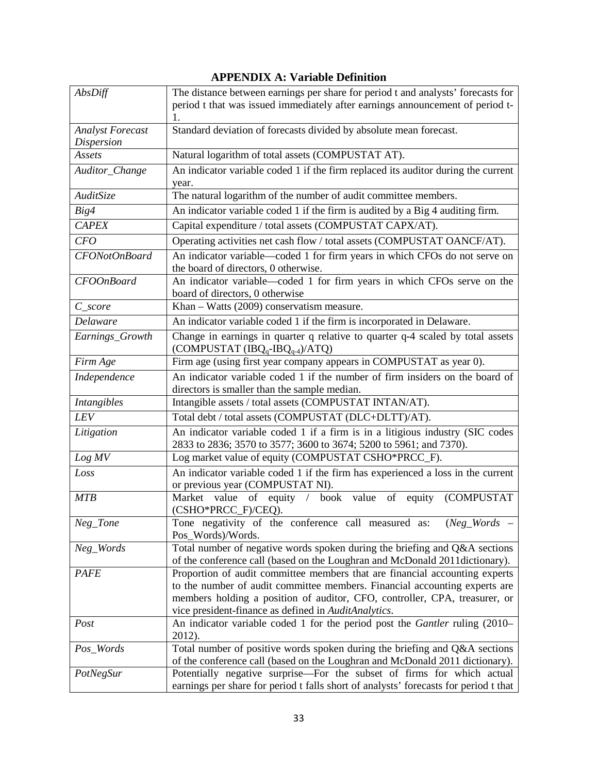| AbsDiff                                      | The distance between earnings per share for period t and analysts' forecasts for                                                                          |
|----------------------------------------------|-----------------------------------------------------------------------------------------------------------------------------------------------------------|
|                                              | period t that was issued immediately after earnings announcement of period t-                                                                             |
|                                              |                                                                                                                                                           |
| <b>Analyst Forecast</b><br><b>Dispersion</b> | Standard deviation of forecasts divided by absolute mean forecast.                                                                                        |
| Assets                                       | Natural logarithm of total assets (COMPUSTAT AT).                                                                                                         |
| Auditor_Change                               | An indicator variable coded 1 if the firm replaced its auditor during the current                                                                         |
|                                              | year.                                                                                                                                                     |
| AuditSize                                    | The natural logarithm of the number of audit committee members.                                                                                           |
| Big4                                         | An indicator variable coded 1 if the firm is audited by a Big 4 auditing firm.                                                                            |
| <b>CAPEX</b>                                 | Capital expenditure / total assets (COMPUSTAT CAPX/AT).                                                                                                   |
| CFO                                          | Operating activities net cash flow / total assets (COMPUSTAT OANCF/AT).                                                                                   |
| CFONotOnBoard                                | An indicator variable-coded 1 for firm years in which CFOs do not serve on                                                                                |
|                                              | the board of directors, 0 otherwise.                                                                                                                      |
| <b>CFOOnBoard</b>                            | An indicator variable-coded 1 for firm years in which CFOs serve on the                                                                                   |
| $C\_score$                                   | board of directors, 0 otherwise<br>Khan - Watts (2009) conservatism measure.                                                                              |
| Delaware                                     | An indicator variable coded 1 if the firm is incorporated in Delaware.                                                                                    |
| Earnings_Growth                              | Change in earnings in quarter q relative to quarter q-4 scaled by total assets                                                                            |
|                                              | (COMPUSTAT $(IBQ_q-IBQ_{q-4})/ATQ$ )                                                                                                                      |
| Firm Age                                     | Firm age (using first year company appears in COMPUSTAT as year 0).                                                                                       |
| Independence                                 | An indicator variable coded 1 if the number of firm insiders on the board of                                                                              |
|                                              | directors is smaller than the sample median.                                                                                                              |
| Intangibles                                  | Intangible assets / total assets (COMPUSTAT INTAN/AT).                                                                                                    |
| LEV                                          | Total debt / total assets (COMPUSTAT (DLC+DLTT)/AT).                                                                                                      |
| Litigation                                   | An indicator variable coded 1 if a firm is in a litigious industry (SIC codes<br>2833 to 2836; 3570 to 3577; 3600 to 3674; 5200 to 5961; and 7370).       |
| Log MV                                       | Log market value of equity (COMPUSTAT CSHO*PRCC_F).                                                                                                       |
| Loss                                         | An indicator variable coded 1 if the firm has experienced a loss in the current                                                                           |
|                                              | or previous year (COMPUSTAT NI).                                                                                                                          |
| <b>MTB</b>                                   | Market value of equity / book value of equity (COMPUSTAT<br>(CSHO*PRCC_F)/CEQ).                                                                           |
| Neg_Tone                                     | Tone negativity of the conference call measured as: (Neg_Words                                                                                            |
|                                              | Pos_Words)/Words.                                                                                                                                         |
| Neg_Words                                    | Total number of negative words spoken during the briefing and Q&A sections                                                                                |
|                                              | of the conference call (based on the Loughran and McDonald 2011 dictionary).                                                                              |
| PAFE                                         | Proportion of audit committee members that are financial accounting experts<br>to the number of audit committee members. Financial accounting experts are |
|                                              | members holding a position of auditor, CFO, controller, CPA, treasurer, or                                                                                |
|                                              | vice president-finance as defined in AuditAnalytics.                                                                                                      |
| Post                                         | An indicator variable coded 1 for the period post the Gantler ruling (2010–                                                                               |
|                                              | 2012).                                                                                                                                                    |
| Pos_Words                                    | Total number of positive words spoken during the briefing and Q&A sections                                                                                |
|                                              | of the conference call (based on the Loughran and McDonald 2011 dictionary).                                                                              |
| PotNegSur                                    | Potentially negative surprise—For the subset of firms for which actual                                                                                    |
|                                              | earnings per share for period t falls short of analysts' forecasts for period t that                                                                      |

## **APPENDIX A: Variable Definition**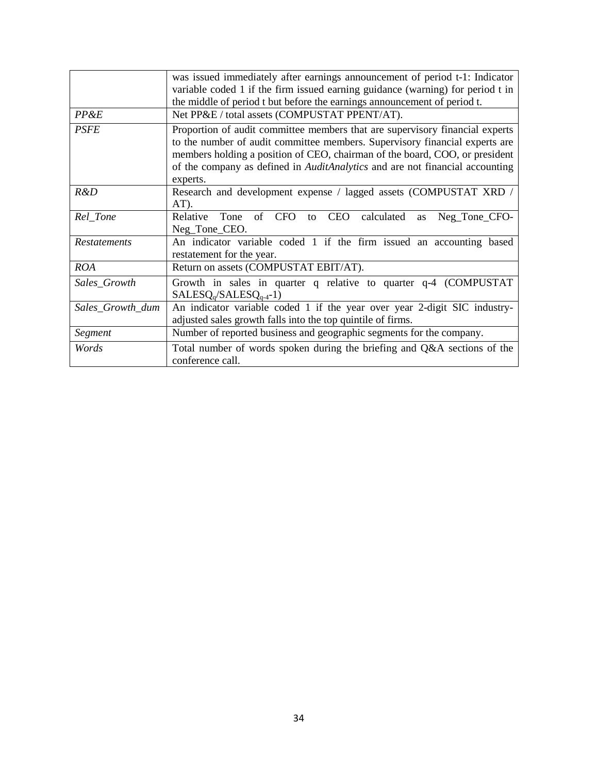|                     | was issued immediately after earnings announcement of period t-1: Indicator                                                                                                                                                                                                                                                            |
|---------------------|----------------------------------------------------------------------------------------------------------------------------------------------------------------------------------------------------------------------------------------------------------------------------------------------------------------------------------------|
|                     | variable coded 1 if the firm issued earning guidance (warning) for period t in                                                                                                                                                                                                                                                         |
|                     | the middle of period t but before the earnings announcement of period t.                                                                                                                                                                                                                                                               |
| PP&E                | Net PP&E / total assets (COMPUSTAT PPENT/AT).                                                                                                                                                                                                                                                                                          |
| PSFE                | Proportion of audit committee members that are supervisory financial experts<br>to the number of audit committee members. Supervisory financial experts are<br>members holding a position of CEO, chairman of the board, COO, or president<br>of the company as defined in AuditAnalytics and are not financial accounting<br>experts. |
| R&D                 | Research and development expense / lagged assets (COMPUSTAT XRD /<br>$AT$ ).                                                                                                                                                                                                                                                           |
| Rel_Tone            | Tone<br>of CFO<br>CEO calculated<br>Relative<br>Neg_Tone_CFO-<br>to<br>as<br>Neg_Tone_CEO.                                                                                                                                                                                                                                             |
| <b>Restatements</b> | An indicator variable coded 1 if the firm issued an accounting based<br>restatement for the year.                                                                                                                                                                                                                                      |
| <b>ROA</b>          | Return on assets (COMPUSTAT EBIT/AT).                                                                                                                                                                                                                                                                                                  |
| Sales_Growth        | Growth in sales in quarter q relative to quarter q-4 (COMPUSTAT)<br>$SALESQq/SALESQq-4-1)$                                                                                                                                                                                                                                             |
| Sales_Growth_dum    | An indicator variable coded 1 if the year over year 2-digit SIC industry-<br>adjusted sales growth falls into the top quintile of firms.                                                                                                                                                                                               |
| Segment             | Number of reported business and geographic segments for the company.                                                                                                                                                                                                                                                                   |
| Words               | Total number of words spoken during the briefing and Q&A sections of the<br>conference call.                                                                                                                                                                                                                                           |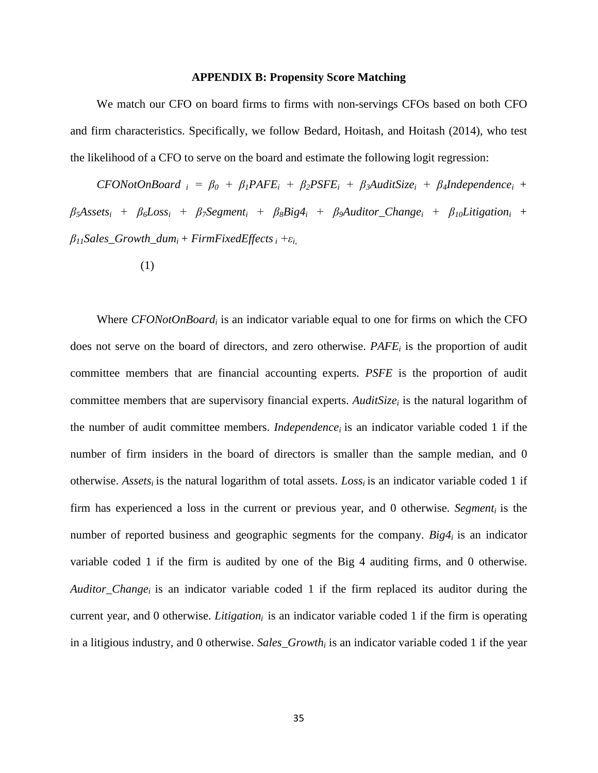#### **APPENDIX B: Propensity Score Matching**

We match our CFO on board firms to firms with non-servings CFOs based on both CFO and firm characteristics. Specifically, we follow Bedard, Hoitash, and Hoitash (2014), who test the likelihood of a CFO to serve on the board and estimate the following logit regression:

 $CFONotOnBoard$  *i* =  $\beta_0$  +  $\beta_1 P A FE_i$  +  $\beta_2 P S FE_i$  +  $\beta_3 AuditSize_i$  +  $\beta_4 Independence$  +  $\beta_5$ *Assets<sub>i</sub>* +  $\beta_6$ *Loss<sub>i</sub>* +  $\beta_7$ *Segment<sub>i</sub>* +  $\beta_8$ *Big4<sub>i</sub>* +  $\beta_9$ *Auditor\_Change<sub>i</sub>* +  $\beta_{10}$ *Litigation<sub>i</sub>* +  $\beta_{11}$ Sales\_Growth\_dum<sub>i</sub> + FirmFixedEffects<sub>i</sub> +ε<sub>*i*</sub></sub>

(1)

Where *CFONotOnBoardi* is an indicator variable equal to one for firms on which the CFO does not serve on the board of directors, and zero otherwise. *PAFEi* is the proportion of audit committee members that are financial accounting experts. *PSFE* is the proportion of audit committee members that are supervisory financial experts. *AuditSizei* is the natural logarithm of the number of audit committee members. *Independencei* is an indicator variable coded 1 if the number of firm insiders in the board of directors is smaller than the sample median, and 0 otherwise. *Assets<sub>i</sub>* is the natural logarithm of total assets. *Loss<sub>i</sub>* is an indicator variable coded 1 if firm has experienced a loss in the current or previous year, and 0 otherwise. *Segment<sub>i</sub>* is the number of reported business and geographic segments for the company. *Big4i* is an indicator variable coded 1 if the firm is audited by one of the Big 4 auditing firms, and 0 otherwise. *Auditor\_Change<sub>i</sub>* is an indicator variable coded 1 if the firm replaced its auditor during the current year, and 0 otherwise. *Litigation*<sub>i</sub> is an indicator variable coded 1 if the firm is operating in a litigious industry, and 0 otherwise. *Sales\_Growth<sub>i</sub>* is an indicator variable coded 1 if the year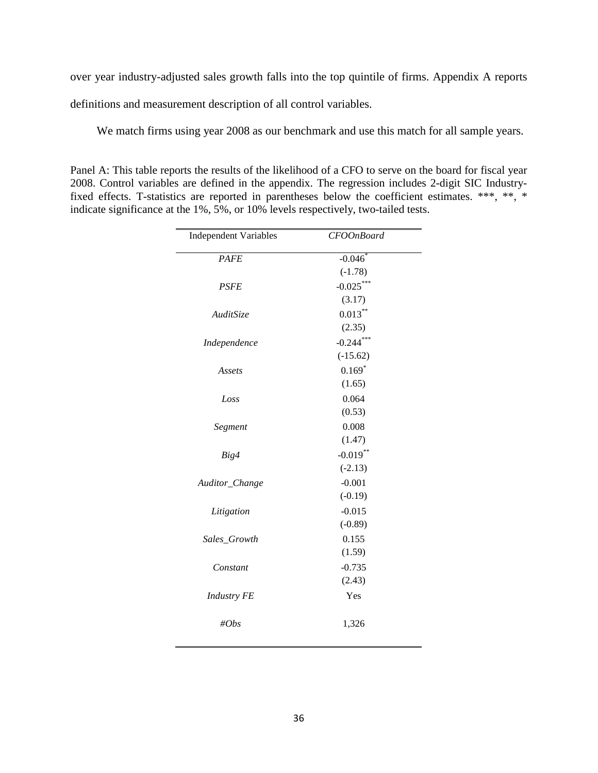over year industry-adjusted sales growth falls into the top quintile of firms. Appendix A reports

definitions and measurement description of all control variables.

We match firms using year 2008 as our benchmark and use this match for all sample years.

Panel A: This table reports the results of the likelihood of a CFO to serve on the board for fiscal year 2008. Control variables are defined in the appendix. The regression includes 2-digit SIC Industryfixed effects. T-statistics are reported in parentheses below the coefficient estimates. \*\*\*, \*\*, \* indicate significance at the 1%, 5%, or 10% levels respectively, two-tailed tests.

| <b>Independent Variables</b> | <b>CFOOnBoard</b> |
|------------------------------|-------------------|
| PAFE                         | $-0.046$          |
|                              | $(-1.78)$         |
| <b>PSFE</b>                  | $-0.025***$       |
|                              | (3.17)            |
| AuditSize                    | $0.013***$        |
|                              | (2.35)            |
| Independence                 | $-0.244***$       |
|                              | $(-15.62)$        |
| Assets                       | $0.169*$          |
|                              | (1.65)            |
| Loss                         | 0.064             |
|                              | (0.53)            |
| Segment                      | 0.008             |
|                              | (1.47)            |
| Big4                         | $-0.019***$       |
|                              | $(-2.13)$         |
| Auditor_Change               | $-0.001$          |
|                              | $(-0.19)$         |
| Litigation                   | $-0.015$          |
|                              | $(-0.89)$         |
| Sales_Growth                 | 0.155             |
|                              | (1.59)            |
| Constant                     | $-0.735$          |
|                              | (2.43)            |
| <b>Industry FE</b>           | Yes               |
| #Obs                         | 1,326             |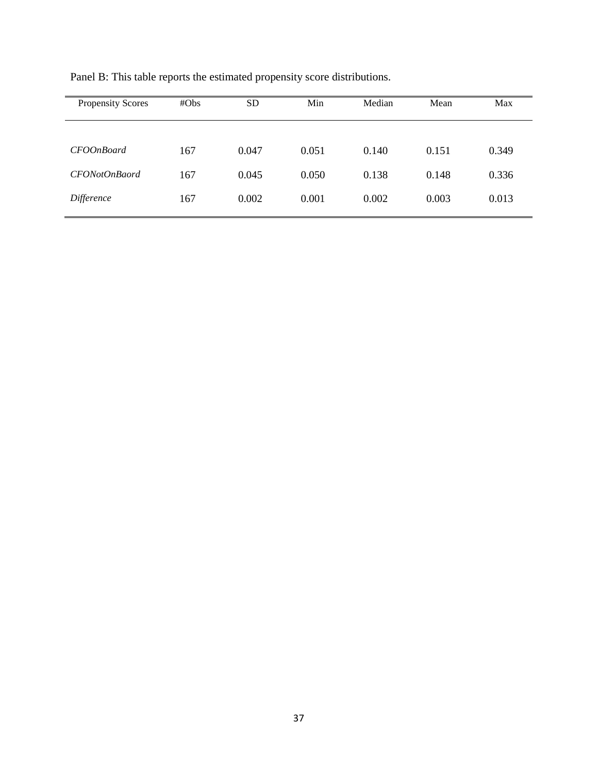| <b>Propensity Scores</b> | #Obs | SD <sub>.</sub> | Min   | Median | Mean  | Max   |
|--------------------------|------|-----------------|-------|--------|-------|-------|
|                          |      |                 |       |        |       |       |
| <b>CFOOnBoard</b>        | 167  | 0.047           | 0.051 | 0.140  | 0.151 | 0.349 |
| CFONotOnBaord            | 167  | 0.045           | 0.050 | 0.138  | 0.148 | 0.336 |
| Difference               | 167  | 0.002           | 0.001 | 0.002  | 0.003 | 0.013 |

Panel B: This table reports the estimated propensity score distributions.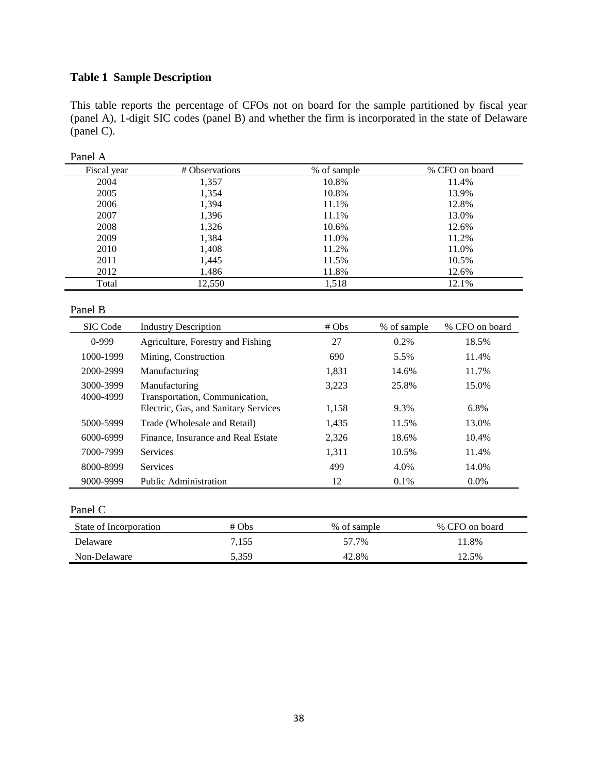## **Table 1 Sample Description**

This table reports the percentage of CFOs not on board for the sample partitioned by fiscal year (panel A), 1-digit SIC codes (panel B) and whether the firm is incorporated in the state of Delaware (panel C).

| 1 UIIVI 1 1 |                |             |                |
|-------------|----------------|-------------|----------------|
| Fiscal year | # Observations | % of sample | % CFO on board |
| 2004        | 1,357          | 10.8%       | 11.4%          |
| 2005        | 1,354          | 10.8%       | 13.9%          |
| 2006        | 1,394          | 11.1%       | 12.8%          |
| 2007        | 1,396          | 11.1%       | 13.0%          |
| 2008        | 1,326          | 10.6%       | 12.6%          |
| 2009        | 1,384          | 11.0%       | 11.2%          |
| 2010        | 1,408          | 11.2%       | 11.0%          |
| 2011        | 1,445          | 11.5%       | 10.5%          |
| 2012        | 1,486          | 11.8%       | 12.6%          |
| Total       | 12,550         | 1,518       | 12.1%          |

#### Panel A

#### Panel B

| <b>SIC</b> Code        | <b>Industry Description</b>                     | # Obs | % of sample | % CFO on board |
|------------------------|-------------------------------------------------|-------|-------------|----------------|
| $0-999$                | Agriculture, Forestry and Fishing               | 27    | $0.2\%$     | 18.5%          |
| 1000-1999              | Mining, Construction                            | 690   | 5.5%        | 11.4%          |
| 2000-2999              | Manufacturing                                   | 1,831 | 14.6%       | 11.7%          |
| 3000-3999<br>4000-4999 | Manufacturing<br>Transportation, Communication, | 3,223 | 25.8%       | 15.0%          |
|                        | Electric, Gas, and Sanitary Services            | 1,158 | 9.3%        | 6.8%           |
| 5000-5999              | Trade (Wholesale and Retail)                    | 1,435 | 11.5%       | 13.0%          |
| 6000-6999              | Finance, Insurance and Real Estate              | 2,326 | 18.6%       | 10.4%          |
| 7000-7999              | <b>Services</b>                                 | 1,311 | 10.5%       | 11.4%          |
| 8000-8999              | <b>Services</b>                                 | 499   | 4.0%        | 14.0%          |
| 9000-9999              | Public Administration                           | 12    | $0.1\%$     | $0.0\%$        |

#### Panel C

| State of Incorporation | $# \, Obs$ | % of sample | % CFO on board |
|------------------------|------------|-------------|----------------|
| Delaware               | 7,155      | 57.7%       | 11.8%          |
| Non-Delaware           | 5.359      | 42.8%       | 12.5%          |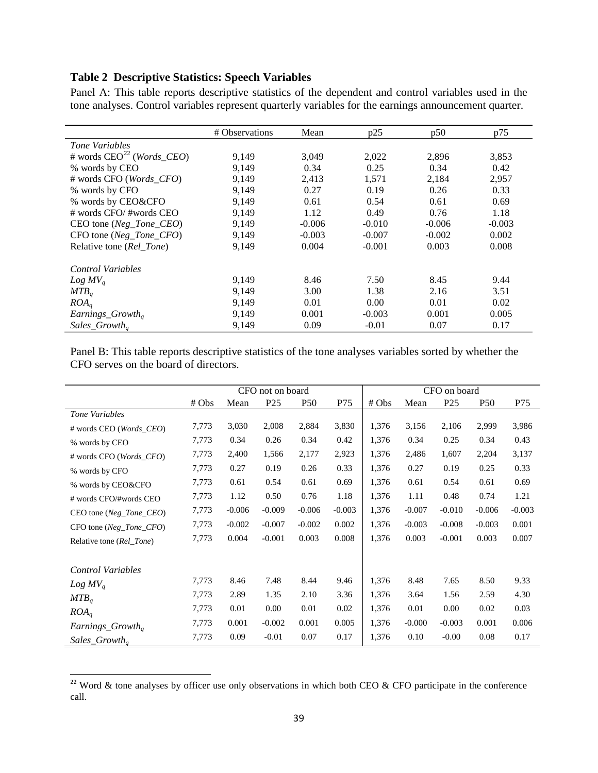## **Table 2 Descriptive Statistics: Speech Variables**

Panel A: This table reports descriptive statistics of the dependent and control variables used in the tone analyses. Control variables represent quarterly variables for the earnings announcement quarter.

|                                         | # Observations | Mean     | p25      | p50      | p75      |
|-----------------------------------------|----------------|----------|----------|----------|----------|
| Tone Variables                          |                |          |          |          |          |
| # words $CEO^{22}$ ( <i>Words_CEO</i> ) | 9,149          | 3,049    | 2,022    | 2,896    | 3,853    |
| % words by CEO                          | 9,149          | 0.34     | 0.25     | 0.34     | 0.42     |
| # words CFO (Words_CFO)                 | 9,149          | 2,413    | 1,571    | 2,184    | 2,957    |
| % words by CFO                          | 9,149          | 0.27     | 0.19     | 0.26     | 0.33     |
| % words by CEO&CFO                      | 9,149          | 0.61     | 0.54     | 0.61     | 0.69     |
| # words CFO/#words CEO                  | 9,149          | 1.12     | 0.49     | 0.76     | 1.18     |
| CEO tone ( $Neg\_Tone\_CEO$ )           | 9,149          | $-0.006$ | $-0.010$ | $-0.006$ | $-0.003$ |
| $CFO$ tone (Neg_Tone_CFO)               | 9,149          | $-0.003$ | $-0.007$ | $-0.002$ | 0.002    |
| Relative tone (Rel_Tone)                | 9,149          | 0.004    | $-0.001$ | 0.003    | 0.008    |
| Control Variables                       |                |          |          |          |          |
| $Log MV_a$                              | 9,149          | 8.46     | 7.50     | 8.45     | 9.44     |
| MTB <sub>a</sub>                        | 9,149          | 3.00     | 1.38     | 2.16     | 3.51     |
| ROA <sub>a</sub>                        | 9,149          | 0.01     | 0.00     | 0.01     | 0.02     |
| Earnings_Growth <sub>a</sub>            | 9,149          | 0.001    | $-0.003$ | 0.001    | 0.005    |
| Sales_Growth <sub>a</sub>               | 9,149          | 0.09     | $-0.01$  | 0.07     | 0.17     |

Panel B: This table reports descriptive statistics of the tone analyses variables sorted by whether the CFO serves on the board of directors.

|                           | CFO not on board |          |                 |            | CFO on board |       |          |                 |                 |          |
|---------------------------|------------------|----------|-----------------|------------|--------------|-------|----------|-----------------|-----------------|----------|
|                           | # Obs            | Mean     | P <sub>25</sub> | <b>P50</b> | P75          | # Obs | Mean     | P <sub>25</sub> | P <sub>50</sub> | P75      |
| Tone Variables            |                  |          |                 |            |              |       |          |                 |                 |          |
| # words CEO (Words_CEO)   | 7,773            | 3,030    | 2,008           | 2,884      | 3,830        | 1,376 | 3,156    | 2,106           | 2,999           | 3,986    |
| % words by CEO            | 7,773            | 0.34     | 0.26            | 0.34       | 0.42         | 1,376 | 0.34     | 0.25            | 0.34            | 0.43     |
| # words CFO (Words_CFO)   | 7,773            | 2,400    | 1,566           | 2,177      | 2,923        | 1,376 | 2,486    | 1,607           | 2,204           | 3,137    |
| % words by CFO            | 7,773            | 0.27     | 0.19            | 0.26       | 0.33         | 1,376 | 0.27     | 0.19            | 0.25            | 0.33     |
| % words by CEO&CFO        | 7,773            | 0.61     | 0.54            | 0.61       | 0.69         | 1,376 | 0.61     | 0.54            | 0.61            | 0.69     |
| # words CFO/#words CEO    | 7,773            | 1.12     | 0.50            | 0.76       | 1.18         | 1,376 | 1.11     | 0.48            | 0.74            | 1.21     |
| $CEO$ tone (Neg_Tone_CEO) | 7,773            | $-0.006$ | $-0.009$        | $-0.006$   | $-0.003$     | 1,376 | $-0.007$ | $-0.010$        | $-0.006$        | $-0.003$ |
| $CFO$ tone (Neg_Tone_CFO) | 7,773            | $-0.002$ | $-0.007$        | $-0.002$   | 0.002        | 1,376 | $-0.003$ | $-0.008$        | $-0.003$        | 0.001    |
| Relative tone (Rel_Tone)  | 7,773            | 0.004    | $-0.001$        | 0.003      | 0.008        | 1,376 | 0.003    | $-0.001$        | 0.003           | 0.007    |
|                           |                  |          |                 |            |              |       |          |                 |                 |          |
| Control Variables         |                  |          |                 |            |              |       |          |                 |                 |          |
| $Log MV_a$                | 7,773            | 8.46     | 7.48            | 8.44       | 9.46         | 1,376 | 8.48     | 7.65            | 8.50            | 9.33     |
| MTB <sub>a</sub>          | 7,773            | 2.89     | 1.35            | 2.10       | 3.36         | 1,376 | 3.64     | 1.56            | 2.59            | 4.30     |
| ROA <sub>q</sub>          | 7,773            | 0.01     | 0.00            | 0.01       | 0.02         | 1,376 | 0.01     | 0.00            | 0.02            | 0.03     |
| $Earnings_Growth_a$       | 7,773            | 0.001    | $-0.002$        | 0.001      | 0.005        | 1,376 | $-0.000$ | $-0.003$        | 0.001           | 0.006    |
| $Sales_Growth_a$          | 7,773            | 0.09     | $-0.01$         | 0.07       | 0.17         | 1,376 | 0.10     | $-0.00$         | 0.08            | 0.17     |

<span id="page-38-0"></span> $\frac{22}{2}$  Word & tone analyses by officer use only observations in which both CEO & CFO participate in the conference call.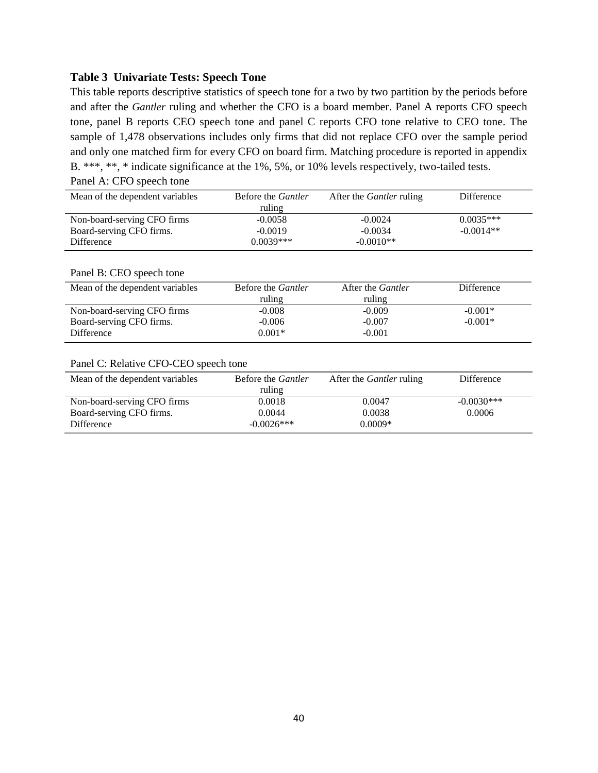## **Table 3 Univariate Tests: Speech Tone**

This table reports descriptive statistics of speech tone for a two by two partition by the periods before and after the *Gantler* ruling and whether the CFO is a board member. Panel A reports CFO speech tone, panel B reports CEO speech tone and panel C reports CFO tone relative to CEO tone. The sample of 1,478 observations includes only firms that did not replace CFO over the sample period and only one matched firm for every CFO on board firm. Matching procedure is reported in appendix B. \*\*\*, \*\*, \* indicate significance at the 1%, 5%, or 10% levels respectively, two-tailed tests.

| Mean of the dependent variables       | Before the <i>Gantler</i><br>ruling | After the <i>Gantler</i> ruling | Difference   |
|---------------------------------------|-------------------------------------|---------------------------------|--------------|
| Non-board-serving CFO firms           | $-0.0058$                           | $-0.0024$                       | $0.0035***$  |
| Board-serving CFO firms.              | $-0.0019$                           | $-0.0034$                       | $-0.0014**$  |
| Difference                            | $0.0039***$                         | $-0.0010**$                     |              |
| Panel B: CEO speech tone              |                                     |                                 |              |
| Mean of the dependent variables       | Before the Gantler                  | After the <i>Gantler</i>        | Difference   |
|                                       | ruling                              | ruling                          |              |
| Non-board-serving CFO firms           | $-0.008$                            | $-0.009$                        | $-0.001*$    |
| Board-serving CFO firms.              | $-0.006$                            | $-0.007$                        | $-0.001*$    |
| Difference                            | $0.001*$                            | $-0.001$                        |              |
|                                       |                                     |                                 |              |
| Panel C: Relative CFO-CEO speech tone |                                     |                                 |              |
| Mean of the dependent variables       | Before the <i>Gantler</i>           | After the <i>Gantler</i> ruling | Difference   |
|                                       | ruling                              |                                 |              |
| Non-board-serving CFO firms           | 0.0018                              | 0.0047                          | $-0.0030***$ |
| Board-serving CFO firms.              | 0.0044                              | 0.0038                          | 0.0006       |

Difference -0.0026\*\*\* 0.0009\*

## Panel A: CFO speech tone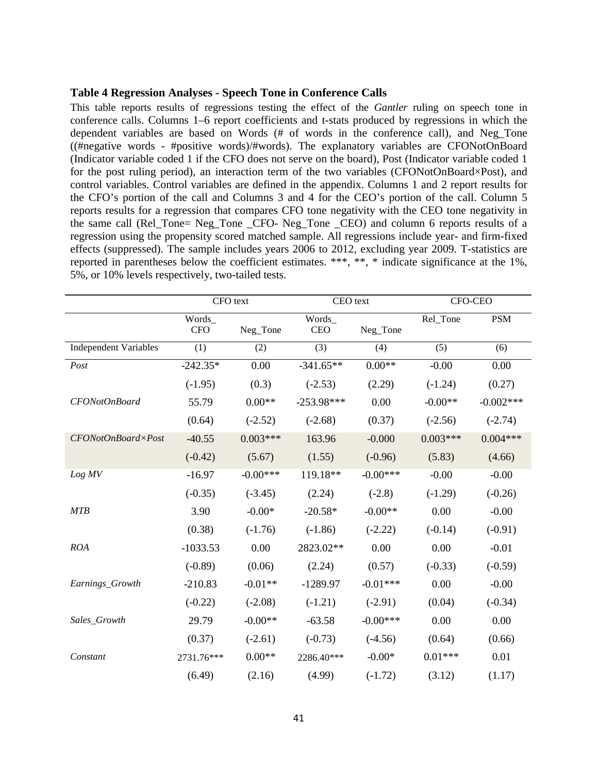#### **Table 4 Regression Analyses - Speech Tone in Conference Calls**

This table reports results of regressions testing the effect of the *Gantler* ruling on speech tone in conference calls. Columns 1–6 report coefficients and t-stats produced by regressions in which the dependent variables are based on Words (# of words in the conference call), and Neg\_Tone ((#negative words - #positive words)/#words). The explanatory variables are CFONotOnBoard (Indicator variable coded 1 if the CFO does not serve on the board), Post (Indicator variable coded 1 for the post ruling period), an interaction term of the two variables (CFONotOnBoard×Post), and control variables. Control variables are defined in the appendix. Columns 1 and 2 report results for the CFO's portion of the call and Columns 3 and 4 for the CEO's portion of the call. Column 5 reports results for a regression that compares CFO tone negativity with the CEO tone negativity in the same call (Rel\_Tone= Neg\_Tone \_CFO- Neg\_Tone \_CEO) and column 6 reports results of a regression using the propensity scored matched sample. All regressions include year- and firm-fixed effects (suppressed). The sample includes years 2006 to 2012, excluding year 2009. T-statistics are reported in parentheses below the coefficient estimates. \*\*\*, \*\*, \* indicate significance at the 1%, 5%, or 10% levels respectively, two-tailed tests.

|                              | CFO text   |            | CEO text     |            | <b>CFO-CEO</b> |              |
|------------------------------|------------|------------|--------------|------------|----------------|--------------|
|                              | Words      |            | Words        |            | Rel_Tone       | <b>PSM</b>   |
|                              | <b>CFO</b> | Neg_Tone   | <b>CEO</b>   | Neg_Tone   |                |              |
| <b>Independent Variables</b> | (1)        | (2)        | (3)          | (4)        | (5)            | (6)          |
| Post                         | $-242.35*$ | 0.00       | $-341.65**$  | $0.00**$   | $-0.00$        | 0.00         |
|                              | $(-1.95)$  | (0.3)      | $(-2.53)$    | (2.29)     | $(-1.24)$      | (0.27)       |
| CFONotOnBoard                | 55.79      | $0.00**$   | $-253.98***$ | 0.00       | $-0.00**$      | $-0.002$ *** |
|                              | (0.64)     | $(-2.52)$  | $(-2.68)$    | (0.37)     | $(-2.56)$      | $(-2.74)$    |
| CFONotOnBoard×Post           | $-40.55$   | $0.003***$ | 163.96       | $-0.000$   | $0.003***$     | $0.004***$   |
|                              | $(-0.42)$  | (5.67)     | (1.55)       | $(-0.96)$  | (5.83)         | (4.66)       |
| Log MV                       | $-16.97$   | $-0.00***$ | 119.18**     | $-0.00***$ | $-0.00$        | $-0.00$      |
|                              | $(-0.35)$  | $(-3.45)$  | (2.24)       | $(-2.8)$   | $(-1.29)$      | $(-0.26)$    |
| <b>MTB</b>                   | 3.90       | $-0.00*$   | $-20.58*$    | $-0.00**$  | 0.00           | $-0.00$      |
|                              | (0.38)     | $(-1.76)$  | $(-1.86)$    | $(-2.22)$  | $(-0.14)$      | $(-0.91)$    |
| ROA                          | $-1033.53$ | 0.00       | 2823.02**    | 0.00       | 0.00           | $-0.01$      |
|                              | $(-0.89)$  | (0.06)     | (2.24)       | (0.57)     | $(-0.33)$      | $(-0.59)$    |
| Earnings_Growth              | $-210.83$  | $-0.01**$  | $-1289.97$   | $-0.01***$ | 0.00           | $-0.00$      |
|                              | $(-0.22)$  | $(-2.08)$  | $(-1.21)$    | $(-2.91)$  | (0.04)         | $(-0.34)$    |
| Sales_Growth                 | 29.79      | $-0.00**$  | $-63.58$     | $-0.00***$ | 0.00           | 0.00         |
|                              | (0.37)     | $(-2.61)$  | $(-0.73)$    | $(-4.56)$  | (0.64)         | (0.66)       |
| Constant                     | 2731.76*** | $0.00**$   | 2286.40***   | $-0.00*$   | $0.01***$      | 0.01         |
|                              | (6.49)     | (2.16)     | (4.99)       | $(-1.72)$  | (3.12)         | (1.17)       |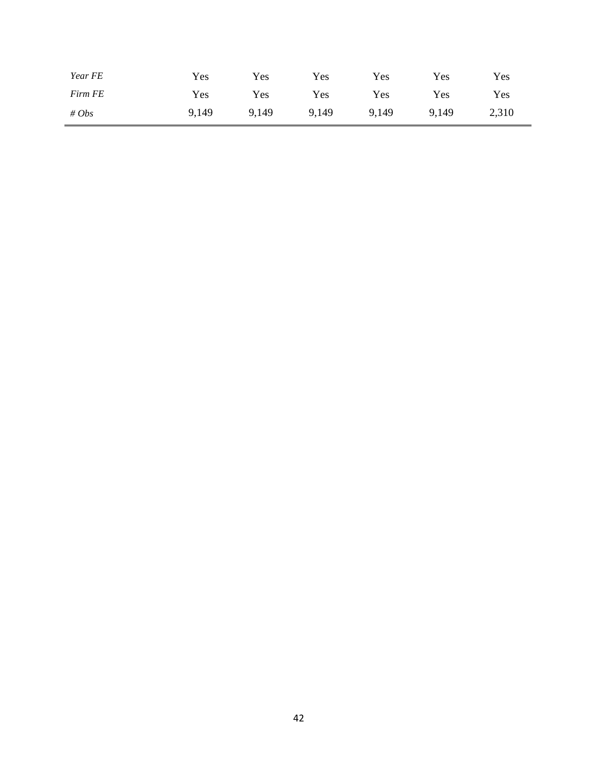| Year FE | Yes   | <b>Yes</b> | Yes   | Yes   | Yes   | Yes   |
|---------|-------|------------|-------|-------|-------|-------|
| Firm FE | Yes   | Yes        | Yes   | Yes   | Yes   | Yes   |
| # $Obs$ | 9,149 | 9,149      | 9,149 | 9,149 | 9,149 | 2,310 |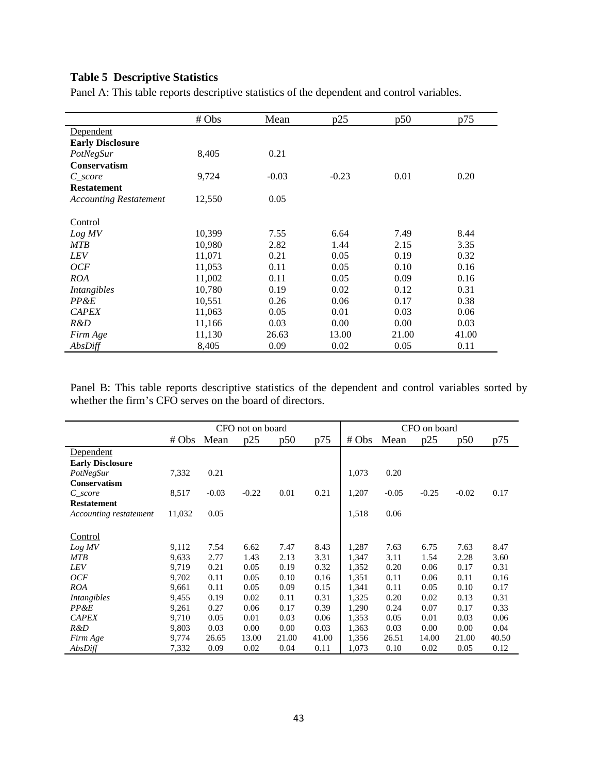## **Table 5 Descriptive Statistics**

Panel A: This table reports descriptive statistics of the dependent and control variables.

|                               | # Obs  | Mean    | p25     | p50   | p75   |
|-------------------------------|--------|---------|---------|-------|-------|
| Dependent                     |        |         |         |       |       |
| <b>Early Disclosure</b>       |        |         |         |       |       |
| PotNegSur                     | 8,405  | 0.21    |         |       |       |
| <b>Conservatism</b>           |        |         |         |       |       |
| C score                       | 9,724  | $-0.03$ | $-0.23$ | 0.01  | 0.20  |
| <b>Restatement</b>            |        |         |         |       |       |
| <b>Accounting Restatement</b> | 12,550 | 0.05    |         |       |       |
| Control                       |        |         |         |       |       |
| Log MV                        | 10,399 | 7.55    | 6.64    | 7.49  | 8.44  |
| <b>MTB</b>                    | 10,980 | 2.82    | 1.44    | 2.15  | 3.35  |
| <b>LEV</b>                    | 11,071 | 0.21    | 0.05    | 0.19  | 0.32  |
| OCF                           | 11,053 | 0.11    | 0.05    | 0.10  | 0.16  |
| ROA                           | 11,002 | 0.11    | 0.05    | 0.09  | 0.16  |
| Intangibles                   | 10,780 | 0.19    | 0.02    | 0.12  | 0.31  |
| PP&E                          | 10,551 | 0.26    | 0.06    | 0.17  | 0.38  |
| <b>CAPEX</b>                  | 11,063 | 0.05    | 0.01    | 0.03  | 0.06  |
| R&D                           | 11,166 | 0.03    | 0.00    | 0.00  | 0.03  |
| Firm Age                      | 11,130 | 26.63   | 13.00   | 21.00 | 41.00 |
| AbsDiff                       | 8,405  | 0.09    | 0.02    | 0.05  | 0.11  |

Panel B: This table reports descriptive statistics of the dependent and control variables sorted by whether the firm's CFO serves on the board of directors.

|                         | CFO not on board |         |         | CFO on board |       |            |         |         |         |       |
|-------------------------|------------------|---------|---------|--------------|-------|------------|---------|---------|---------|-------|
|                         | # Obs            | Mean    | p25     | p50          | p75   | $# \, Obs$ | Mean    | p25     | p50     | p75   |
| Dependent               |                  |         |         |              |       |            |         |         |         |       |
| <b>Early Disclosure</b> |                  |         |         |              |       |            |         |         |         |       |
| PotNegSur               | 7,332            | 0.21    |         |              |       | 1,073      | 0.20    |         |         |       |
| <b>Conservatism</b>     |                  |         |         |              |       |            |         |         |         |       |
| $C\_score$              | 8,517            | $-0.03$ | $-0.22$ | 0.01         | 0.21  | 1,207      | $-0.05$ | $-0.25$ | $-0.02$ | 0.17  |
| <b>Restatement</b>      |                  |         |         |              |       |            |         |         |         |       |
| Accounting restatement  | 11,032           | 0.05    |         |              |       | 1,518      | 0.06    |         |         |       |
| Control                 |                  |         |         |              |       |            |         |         |         |       |
| Log MV                  | 9,112            | 7.54    | 6.62    | 7.47         | 8.43  | 1,287      | 7.63    | 6.75    | 7.63    | 8.47  |
| <b>MTB</b>              | 9,633            | 2.77    | 1.43    | 2.13         | 3.31  | 1,347      | 3.11    | 1.54    | 2.28    | 3.60  |
| LEV                     | 9,719            | 0.21    | 0.05    | 0.19         | 0.32  | 1,352      | 0.20    | 0.06    | 0.17    | 0.31  |
| <b>OCF</b>              | 9,702            | 0.11    | 0.05    | 0.10         | 0.16  | 1,351      | 0.11    | 0.06    | 0.11    | 0.16  |
| <b>ROA</b>              | 9,661            | 0.11    | 0.05    | 0.09         | 0.15  | 1,341      | 0.11    | 0.05    | 0.10    | 0.17  |
| Intangibles             | 9,455            | 0.19    | 0.02    | 0.11         | 0.31  | 1,325      | 0.20    | 0.02    | 0.13    | 0.31  |
| PP&E                    | 9,261            | 0.27    | 0.06    | 0.17         | 0.39  | 1,290      | 0.24    | 0.07    | 0.17    | 0.33  |
| <b>CAPEX</b>            | 9,710            | 0.05    | 0.01    | 0.03         | 0.06  | 1,353      | 0.05    | 0.01    | 0.03    | 0.06  |
| R&D                     | 9,803            | 0.03    | 0.00    | 0.00         | 0.03  | 1,363      | 0.03    | 0.00    | 0.00    | 0.04  |
| Firm Age                | 9,774            | 26.65   | 13.00   | 21.00        | 41.00 | 1,356      | 26.51   | 14.00   | 21.00   | 40.50 |
| AbsDiff                 | 7,332            | 0.09    | 0.02    | 0.04         | 0.11  | 1,073      | 0.10    | 0.02    | 0.05    | 0.12  |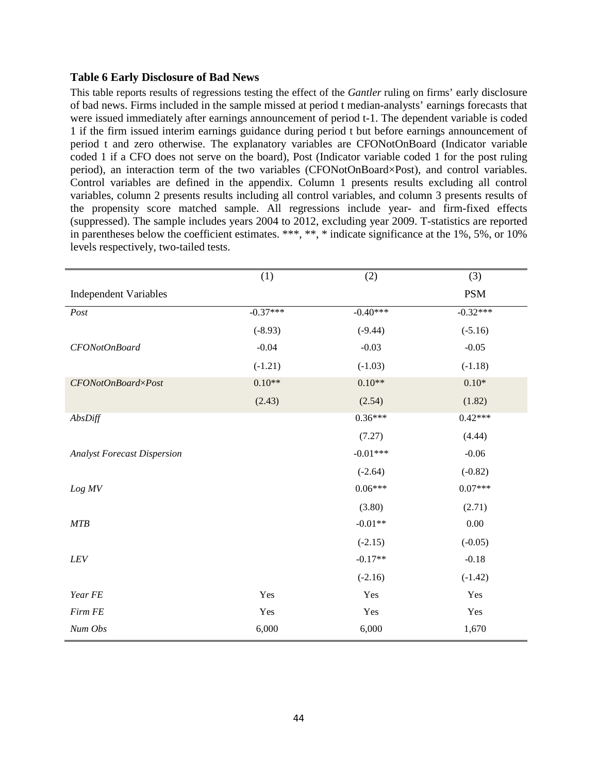## **Table 6 Early Disclosure of Bad News**

This table reports results of regressions testing the effect of the *Gantler* ruling on firms' early disclosure of bad news. Firms included in the sample missed at period t median-analysts' earnings forecasts that were issued immediately after earnings announcement of period t-1. The dependent variable is coded 1 if the firm issued interim earnings guidance during period t but before earnings announcement of period t and zero otherwise. The explanatory variables are CFONotOnBoard (Indicator variable coded 1 if a CFO does not serve on the board), Post (Indicator variable coded 1 for the post ruling period), an interaction term of the two variables (CFONotOnBoard×Post), and control variables. Control variables are defined in the appendix. Column 1 presents results excluding all control variables, column 2 presents results including all control variables, and column 3 presents results of the propensity score matched sample. All regressions include year- and firm-fixed effects (suppressed). The sample includes years 2004 to 2012, excluding year 2009. T-statistics are reported in parentheses below the coefficient estimates. \*\*\*, \*\*, \* indicate significance at the 1%, 5%, or 10% levels respectively, two-tailed tests.

|                                    | (1)        | (2)        | (3)        |
|------------------------------------|------------|------------|------------|
| <b>Independent Variables</b>       |            |            | <b>PSM</b> |
| Post                               | $-0.37***$ | $-0.40***$ | $-0.32***$ |
|                                    | $(-8.93)$  | $(-9.44)$  | $(-5.16)$  |
| CFONotOnBoard                      | $-0.04$    | $-0.03$    | $-0.05$    |
|                                    | $(-1.21)$  | $(-1.03)$  | $(-1.18)$  |
| CFONotOnBoard×Post                 | $0.10**$   | $0.10**$   | $0.10*$    |
|                                    | (2.43)     | (2.54)     | (1.82)     |
| AbsDiff                            |            | $0.36***$  | $0.42***$  |
|                                    |            | (7.27)     | (4.44)     |
| <b>Analyst Forecast Dispersion</b> |            | $-0.01***$ | $-0.06$    |
|                                    |            | $(-2.64)$  | $(-0.82)$  |
| Log MV                             |            | $0.06***$  | $0.07***$  |
|                                    |            | (3.80)     | (2.71)     |
| MTB                                |            | $-0.01**$  | $0.00\,$   |
|                                    |            | $(-2.15)$  | $(-0.05)$  |
| ${\it LEV}$                        |            | $-0.17**$  | $-0.18$    |
|                                    |            | $(-2.16)$  | $(-1.42)$  |
| Year FE                            | Yes        | Yes        | Yes        |
| Firm FE                            | Yes        | Yes        | Yes        |
| Num Obs                            | 6,000      | 6,000      | 1,670      |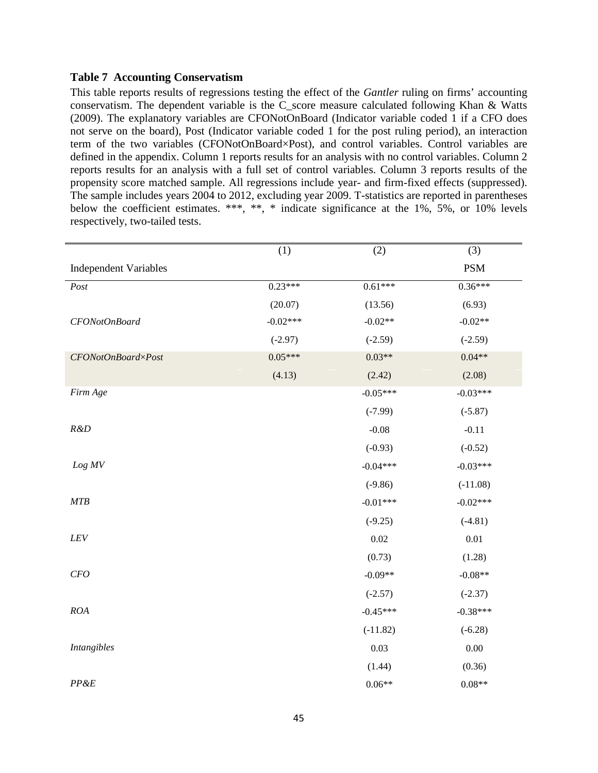## **Table 7 Accounting Conservatism**

This table reports results of regressions testing the effect of the *Gantler* ruling on firms' accounting conservatism. The dependent variable is the C\_score measure calculated following Khan & Watts (2009). The explanatory variables are CFONotOnBoard (Indicator variable coded 1 if a CFO does not serve on the board), Post (Indicator variable coded 1 for the post ruling period), an interaction term of the two variables (CFONotOnBoard×Post), and control variables. Control variables are defined in the appendix. Column 1 reports results for an analysis with no control variables. Column 2 reports results for an analysis with a full set of control variables. Column 3 reports results of the propensity score matched sample. All regressions include year- and firm-fixed effects (suppressed). The sample includes years 2004 to 2012, excluding year 2009. T-statistics are reported in parentheses below the coefficient estimates. \*\*\*, \*\*, \* indicate significance at the 1%, 5%, or 10% levels respectively, two-tailed tests.

|                              | (1)        | (2)        | (3)        |
|------------------------------|------------|------------|------------|
| <b>Independent Variables</b> |            |            | <b>PSM</b> |
| Post                         | $0.23***$  | $0.61***$  | $0.36***$  |
|                              | (20.07)    | (13.56)    | (6.93)     |
| CFONotOnBoard                | $-0.02***$ | $-0.02**$  | $-0.02**$  |
|                              | $(-2.97)$  | $(-2.59)$  | $(-2.59)$  |
| $CFONotOnBoard \times Post$  | $0.05***$  | $0.03**$   | $0.04**$   |
|                              | (4.13)     | (2.42)     | (2.08)     |
| Firm Age                     |            | $-0.05***$ | $-0.03***$ |
|                              |            | $(-7.99)$  | $(-5.87)$  |
| R&D                          |            | $-0.08$    | $-0.11$    |
|                              |            | $(-0.93)$  | $(-0.52)$  |
| Log MV                       |            | $-0.04***$ | $-0.03***$ |
|                              |            | $(-9.86)$  | $(-11.08)$ |
| MTB                          |            | $-0.01***$ | $-0.02***$ |
|                              |            | $(-9.25)$  | $(-4.81)$  |
| ${\it LEV}$                  |            | 0.02       | $0.01\,$   |
|                              |            | (0.73)     | (1.28)     |
| $CFO$                        |            | $-0.09**$  | $-0.08**$  |
|                              |            | $(-2.57)$  | $(-2.37)$  |
| ROA                          |            | $-0.45***$ | $-0.38***$ |
|                              |            | $(-11.82)$ | $(-6.28)$  |
| <b>Intangibles</b>           |            | 0.03       | $0.00\,$   |
|                              |            | (1.44)     | (0.36)     |
| $PP\&E$                      |            | $0.06**$   | $0.08**$   |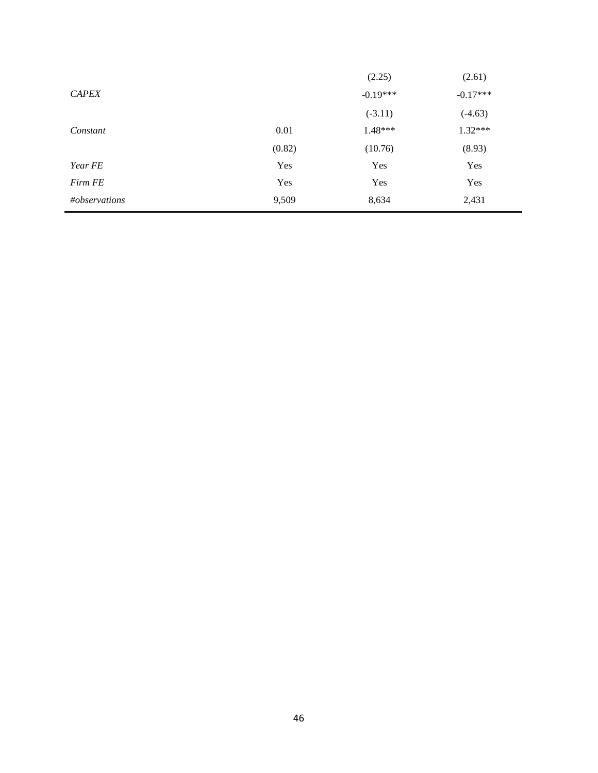|     | (2.25)                  | (2.61)                                          |
|-----|-------------------------|-------------------------------------------------|
|     |                         | $-0.17***$                                      |
|     |                         | $(-4.63)$                                       |
|     |                         | $1.32***$                                       |
|     |                         | (8.93)                                          |
| Yes | Yes                     | Yes                                             |
| Yes | Yes                     | Yes                                             |
|     | 8,634                   | 2,431                                           |
|     | 0.01<br>(0.82)<br>9,509 | $-0.19***$<br>$(-3.11)$<br>$1.48***$<br>(10.76) |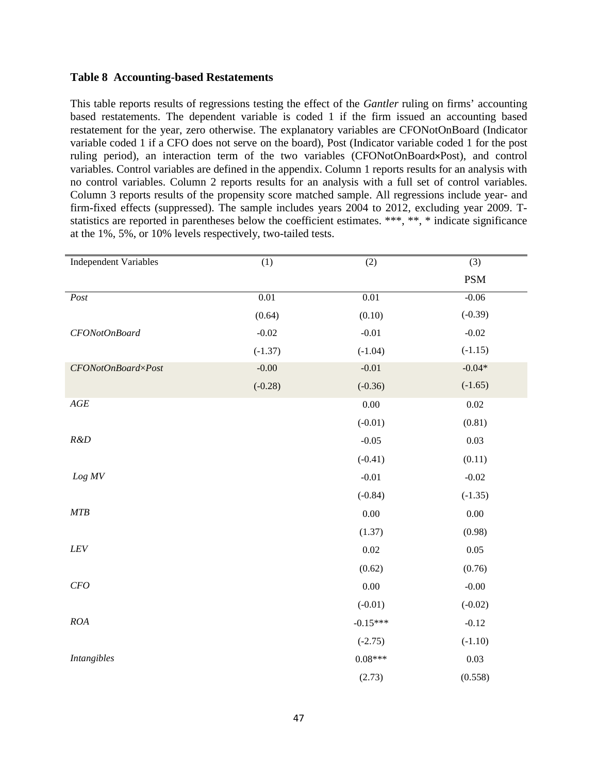## **Table 8 Accounting-based Restatements**

This table reports results of regressions testing the effect of the *Gantler* ruling on firms' accounting based restatements. The dependent variable is coded 1 if the firm issued an accounting based restatement for the year, zero otherwise. The explanatory variables are CFONotOnBoard (Indicator variable coded 1 if a CFO does not serve on the board), Post (Indicator variable coded 1 for the post ruling period), an interaction term of the two variables (CFONotOnBoard×Post), and control variables. Control variables are defined in the appendix. Column 1 reports results for an analysis with no control variables. Column 2 reports results for an analysis with a full set of control variables. Column 3 reports results of the propensity score matched sample. All regressions include year- and firm-fixed effects (suppressed). The sample includes years 2004 to 2012, excluding year 2009. Tstatistics are reported in parentheses below the coefficient estimates. \*\*\*, \*\*, \* indicate significance at the 1%, 5%, or 10% levels respectively, two-tailed tests.

| <b>Independent Variables</b> | $\overline{(1)}$ | $\overline{(2)}$ | $\overline{(3)}$ |
|------------------------------|------------------|------------------|------------------|
|                              |                  |                  | <b>PSM</b>       |
| Post                         | 0.01             | 0.01             | $-0.06$          |
|                              | (0.64)           | (0.10)           | $(-0.39)$        |
| CFONotOnBoard                | $-0.02$          | $-0.01$          | $-0.02$          |
|                              | $(-1.37)$        | $(-1.04)$        | $(-1.15)$        |
| CFONotOnBoard×Post           | $-0.00$          | $-0.01$          | $-0.04*$         |
|                              | $(-0.28)$        | $(-0.36)$        | $(-1.65)$        |
| $AGE$                        |                  | 0.00             | 0.02             |
|                              |                  | $(-0.01)$        | (0.81)           |
| R&D                          |                  | $-0.05$          | 0.03             |
|                              |                  | $(-0.41)$        | (0.11)           |
| $Log\ MV$                    |                  | $-0.01$          | $-0.02$          |
|                              |                  | $(-0.84)$        | $(-1.35)$        |
| MTB                          |                  | 0.00             | $0.00\,$         |
|                              |                  | (1.37)           | (0.98)           |
| ${\cal LEV}$                 |                  | 0.02             | 0.05             |
|                              |                  | (0.62)           | (0.76)           |
| CFO                          |                  | 0.00             | $-0.00$          |
|                              |                  | $(-0.01)$        | $(-0.02)$        |
| ROA                          |                  | $-0.15***$       | $-0.12$          |
|                              |                  | $(-2.75)$        | $(-1.10)$        |
| <b>Intangibles</b>           |                  | $0.08***$        | 0.03             |
|                              |                  | (2.73)           | (0.558)          |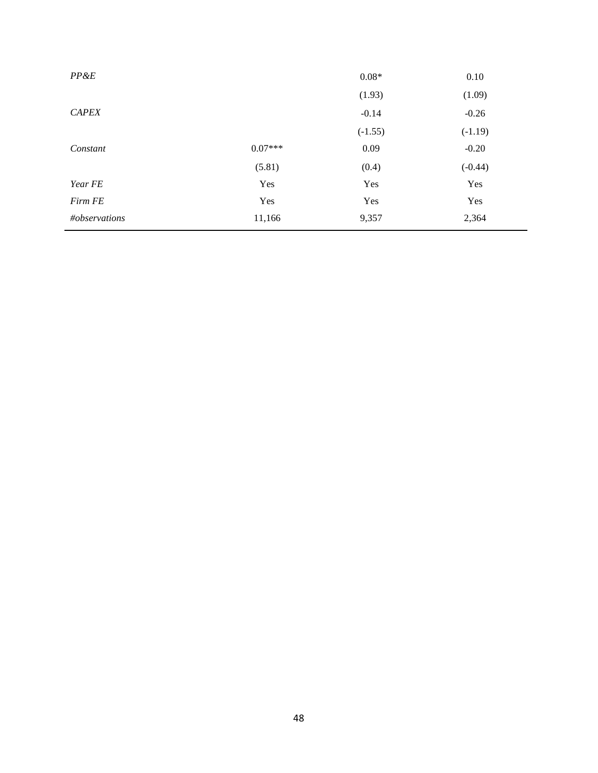| $PP\&E$       |           | $0.08*$   | 0.10      |
|---------------|-----------|-----------|-----------|
|               |           | (1.93)    | (1.09)    |
| <b>CAPEX</b>  |           | $-0.14$   | $-0.26$   |
|               |           | $(-1.55)$ | $(-1.19)$ |
| Constant      | $0.07***$ | 0.09      | $-0.20$   |
|               | (5.81)    | (0.4)     | $(-0.44)$ |
| Year FE       | Yes       | Yes       | Yes       |
| Firm FE       | Yes       | Yes       | Yes       |
| #observations | 11,166    | 9,357     | 2,364     |